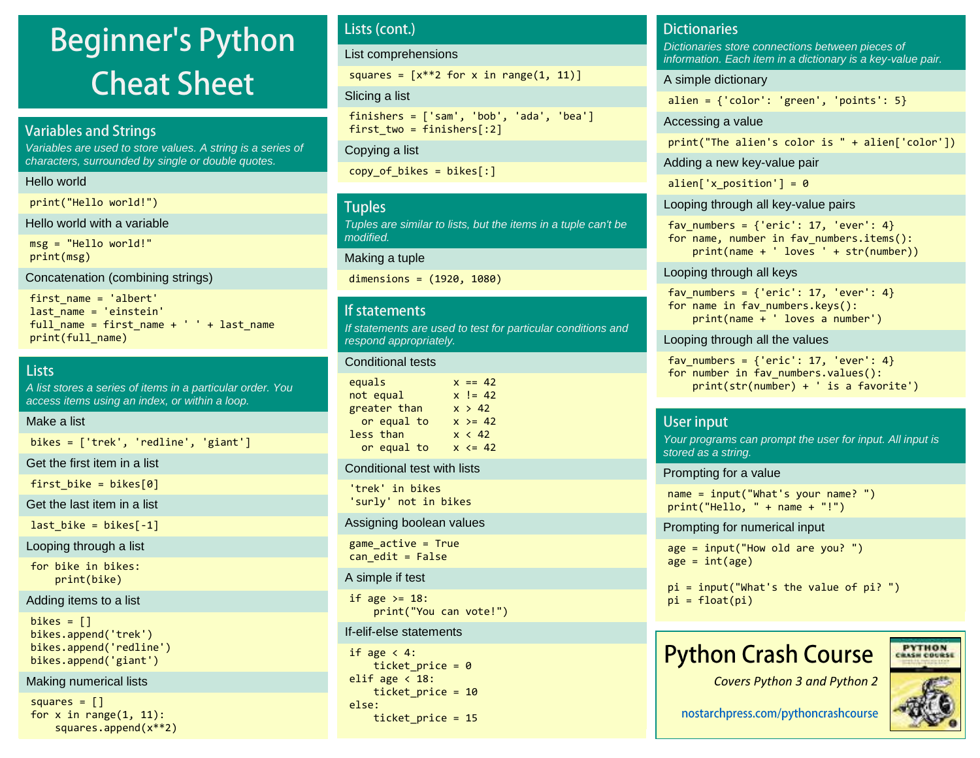# **Beginner's Python Cheat Sheet**

### **Variables and Strings**

Variables are used to store values. A string is a series of characters, surrounded by single or double quotes.

#### Hello world

print("Hello world!")

Hello world with a variable

msg = "Hello world!" print(msg)

Concatenation (combining strings)

first\_name = 'albert' last name = 'einstein' full\_name = first\_name + ' ' + last\_name print(full\_name)

### **Lists**

A list stores a series of items in a particular order. You access items using an index, or within a loop.

#### Make a list

bikes = ['trek', 'redline', 'giant']

Get the first item in a list

first\_bike =  $bike[0]$ 

Get the last item in a list

last bike = bikes $[-1]$ 

Looping through a list

for bike in bikes: print(bike)

#### Adding items to a list

 $bikes = []$ bikes.append('trek') bikes.append('redline') bikes.append('giant')

#### Making numerical lists

squares  $=$   $\lceil$ ] for  $x$  in range $(1, 11)$ : squares.append(x\*\*2)

### Lists (cont.)

List comprehensions

squares =  $[x**2$  for x in range $(1, 11)]$ 

#### Slicing a list

finishers = ['sam', 'bob', 'ada', 'bea'] first two = finishers $[:2]$ 

Copying a list

copy of bikes = bikes $[:]$ 

### **Tuples**

Tuples are similar to lists, but the items in a tuple can't be modified.

#### Making a tuple

dimensions = (1920, 1080)

#### If statements

If statements are used to test for particular conditions and respond appropriately.

#### Conditional tests

| equals       | $x == 42$  |
|--------------|------------|
| not equal    | $x = 42$   |
| greater than | x > 42     |
| or equal to  | $x \ge 42$ |
| less than    | x < 42     |
| or equal to  | $x \le 42$ |

#### Conditional test with lists

'trek' in bikes 'surly' not in bikes

#### Assigning boolean values

 $game$   $active$  = True  $can$  edit = False

#### A simple if test

if age  $>= 18$ : print("You can vote!")

#### If-elif-else statements

```
if age \langle 4:ticket price = 0elif age \langle 18:ticket price = 10
else:
    ticket price = 15
```
### **Dictionaries**

Dictionaries store connections between pieces of information. Each item in a dictionary is a key-value pair.

#### A simple dictionary

alien =  $\{ 'color': 'green', 'points': 5 \}$ 

Accessing a value

print("The alien's color is " + alien['color'])

Adding a new key-value pair

alien['x position'] =  $0$ 

#### Looping through all key-value pairs

fav numbers =  $\{ 'eric': 17, 'ever': 4\}$ for name, number in fav numbers.items(): print(name + ' loves ' + str(number))

#### Looping through all keys

fav numbers =  $\{ 'eric': 17, 'ever': 4 \}$ for name in fav numbers.keys(): print(name + ' loves a number')

#### Looping through all the values

fav numbers =  $\{ 'eric': 17, 'ever': 4 \}$ for number in fav numbers.values(): print(str(number) + ' is a favorite')

### **User input**

Your programs can prompt the user for input. All input is stored as a string.

Prompting for a value

name = input("What's your name? ")  $print("Hello, " + name + "!")$ 

Prompting for numerical input

```
age = input("How old are you? ")
age = int(age)
```

```
pi = input("What's the value of pi? ")
pi = float(pi)
```
## **Python Crash Course**

*Covers Python 3 and Python 2*



**PYTHON** 

**New Car Provider**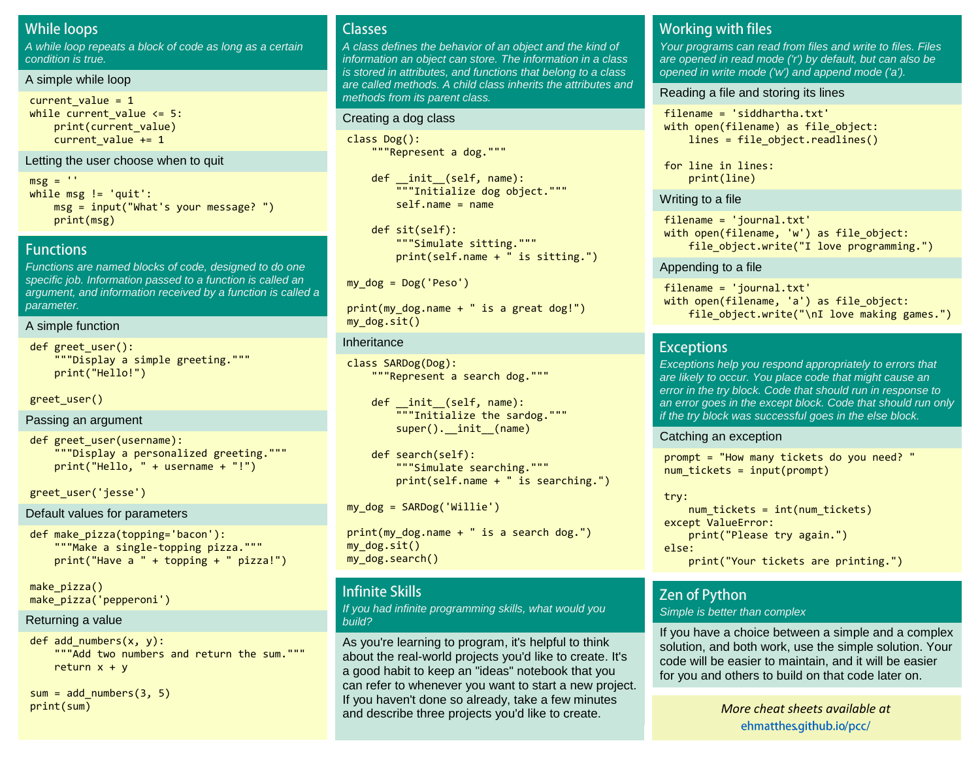### **While loops**

A while loop repeats a block of code as long as a certain condition is true.

#### A simple while loop

```
current value = 1while current value \leq 5:
     print(current_value)
     current_value += 1
```
#### Letting the user choose when to quit

 $msg = ''$ while msg != 'quit': msg = input("What's your message? ") print(msg)

#### **Functions**

Functions are named blocks of code, designed to do one specific job. Information passed to a function is called an argument, and information received by a function is called a parameter.

#### A simple function

```
def greet user():
     """Display a simple greeting."""
     print("Hello!")
```
greet\_user()

#### Passing an argument

```
def greet user(username):
     """Display a personalized greeting."""
     print("Hello, " + username + "!")
```
greet\_user('jesse')

```
Default values for parameters
```

```
def make_pizza(topping='bacon'):
     """Make a single-topping pizza."""
     print("Have a " + topping + " pizza!")
```
make pizza() make\_pizza('pepperoni')

#### Returning a value

def add\_numbers(x, y): """Add two numbers and return the sum.""" return  $x + y$ 

 $sum = add$  numbers(3, 5)

### **Classes**

A class defines the behavior of an object and the kind of information an object can store. The information in a class is stored in attributes, and functions that belong to a class are called methods. A child class inherits the attributes and methods from its parent class.

#### Creating a dog class

class Dog(): """Represent a dog."""

> def \_\_init\_\_(self, name): """Initialize dog object."""  $self.name = name$

```
 def sit(self):
     """Simulate sitting."""
     print(self.name + " is sitting.")
```

```
my dog = Dog('Peso')
```

```
print(my_dog.name + " is a great dog!")
my_dog.sit()
```
#### Inheritance

class SARDog(Dog): """Represent a search dog."""

```
 def __init__(self, name):
    \overline{'''}"Initialize the sardog."""
    super(). init (name)
```

```
 def search(self):
     """Simulate searching."""
     print(self.name + " is searching.")
```
my\_dog = SARDog('Willie')

```
print(my_dog.name + " is a search dog.")
my dog.sit()
my_dog.search()
```
### **Infinite Skills**

If you had infinite programming skills, what would you build?

print(sum) *M[ore cheat sheets available](http://ehmatthes.github.io/pcc/cheatsheets/README.html) at [More cheat sheets available at](http://github.com/ehmatthes/pcc/cheatsheets)* and describe three projects you'd like to create. As you're learning to program, it's helpful to think about the real-world projects you'd like to create. It's a good habit to keep an "ideas" notebook that you can refer to whenever you want to start a new project. If you haven't done so already, take a few minutes

### **Working with files**

Your programs can read from files and write to files. Files are opened in read mode ('r') by default, but can also be opened in write mode ('w') and append mode ('a').

#### Reading a file and storing its lines

filename = 'siddhartha.txt' with open(filename) as file object: lines = file object.readlines()

for line in lines: print(line)

#### Writing to a file

filename = 'journal.txt' with open(filename, 'w') as file\_object: file object.write("I love programming.")

#### Appending to a file

filename = 'journal.txt' with open(filename, 'a') as file object: file\_object.write("\nI love making games.")

#### **Exceptions**

Exceptions help you respond appropriately to errors that are likely to occur. You place code that might cause an error in the try block. Code that should run in response to an error goes in the except block. Code that should run only if the try block was successful goes in the else block.

Catching an exception

prompt = "How many tickets do you need? "  $num$  tickets = input(prompt)

try:  $num$  tickets =  $int(num$ tickets) except ValueError: print("Please try again.") else: print("Your tickets are printing.")

### **Zen of Python**

#### Simple is better than complex

If you have a choice between a simple and a complex solution, and both work, use the simple solution. Your code will be easier to maintain, and it will be easier for you and others to build on that code later on.

ehmatthes.github.io/pcc/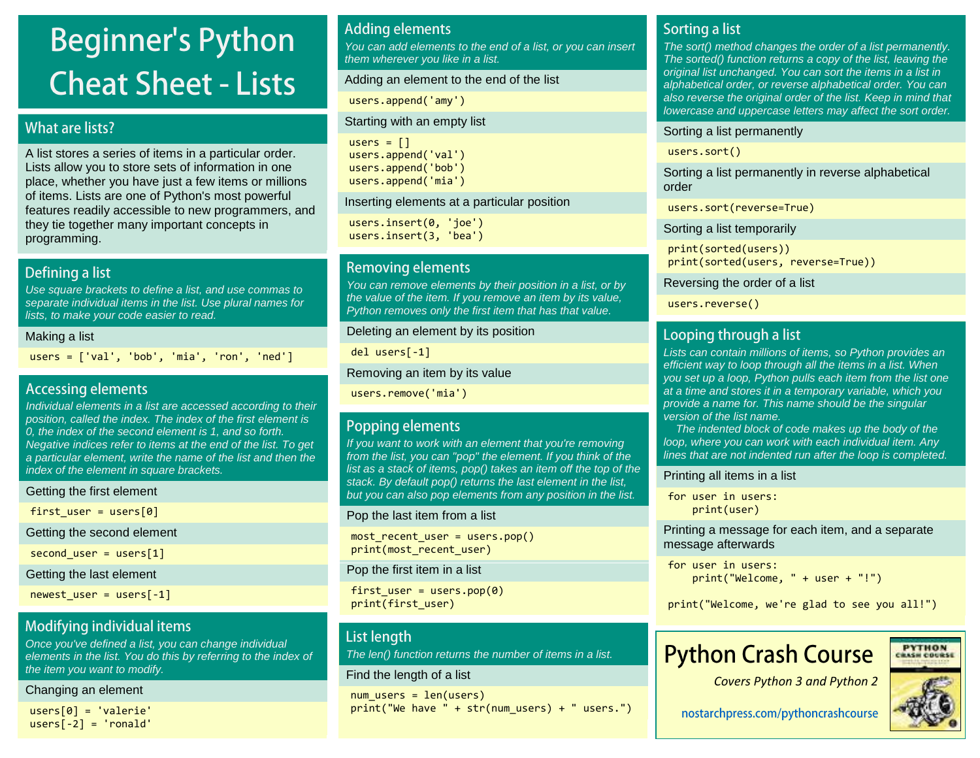# **Beginner's Python Cheat Sheet - Lists**

### What are lists?

A list stores a series of items in a particular order. Lists allow you to store sets of information in one place, whether you have just a few items or millions of items. Lists are one of Python's most powerful features readily accessible to new programmers, and they tie together many important concepts in programming.

### Defining a list

Use square brackets to define a list, and use commas to separate individual items in the list. Use plural names for lists, to make your code easier to read.

#### Making a list

 $users = ['val', 'bob', 'mia', 'ron', 'ned']$ 

### **Accessing elements**

Individual elements in a list are accessed according to their position, called the index. The index of the first element is 0, the index of the second element is 1, and so forth. Negative indices refer to items at the end of the list. To get a particular element, write the name of the list and then the index of the element in square brackets.

Getting the first element

first user = users[0]

Getting the second element

second user = users[1]

Getting the last element

```
newest_user = users[-1]
```
### Modifying individual items

Once you've defined a list, you can change individual elements in the list. You do this by referring to the index of the item you want to modify.

#### Changing an element

users[0] = 'valerie'  $users[-2] = 'ronald'$ 

### **Adding elements**

You can add elements to the end of a list, or you can insert them wherever you like in a list.

#### Adding an element to the end of the list

users.append('amy')

#### Starting with an empty list

```
users = \lceil]
users.append('val')
users.append('bob')
users.append('mia')
```
Inserting elements at a particular position

users.insert(0, 'joe') users.insert(3, 'bea')

### **Removing elements**

You can remove elements by their position in a list, or by the value of the item. If you remove an item by its value, Python removes only the first item that has that value.

Deleting an element by its position

del users[-1]

Removing an item by its value

users.remove('mia')

### **Popping elements**

If you want to work with an element that you're removing from the list, you can "pop" the element. If you think of the list as a stack of items, pop() takes an item off the top of the stack. By default pop() returns the last element in the list, but you can also pop elements from any position in the list.

Pop the last item from a list

most recent user = users.pop() print(most recent user)

Pop the first item in a list

first user = users.pop(0) print(first\_user)

### **List length**

The len() function returns the number of items in a list.

### Find the length of a list

 $num$  users = len(users) print("We have " + str(num users) + " users.")

### **Sorting a list**

The sort() method changes the order of a list permanently. The sorted() function returns a copy of the list, leaving the original list unchanged. You can sort the items in a list in alphabetical order, or reverse alphabetical order. You can also reverse the original order of the list. Keep in mind that lowercase and uppercase letters may affect the sort order.

#### Sorting a list permanently

users.sort()

Sorting a list permanently in reverse alphabetical order

users.sort(reverse=True)

### Sorting a list temporarily

print(sorted(users)) print(sorted(users, reverse=True))

Reversing the order of a list

users.reverse()

### Looping through a list

Lists can contain millions of items, so Python provides an efficient way to loop through all the items in a list. When you set up a loop, Python pulls each item from the list one at a time and stores it in a temporary variable, which you provide a name for. This name should be the singular version of the list name.

 The indented block of code makes up the body of the loop, where you can work with each individual item. Any lines that are not indented run after the loop is completed.

#### Printing all items in a list

for user in users: print(user)

Printing a message for each item, and a separate message afterwards

```
for user in users:
     print("Welcome, " + user + "!")
```
print("Welcome, we're glad to see you all!")

## **Python Crash Course**



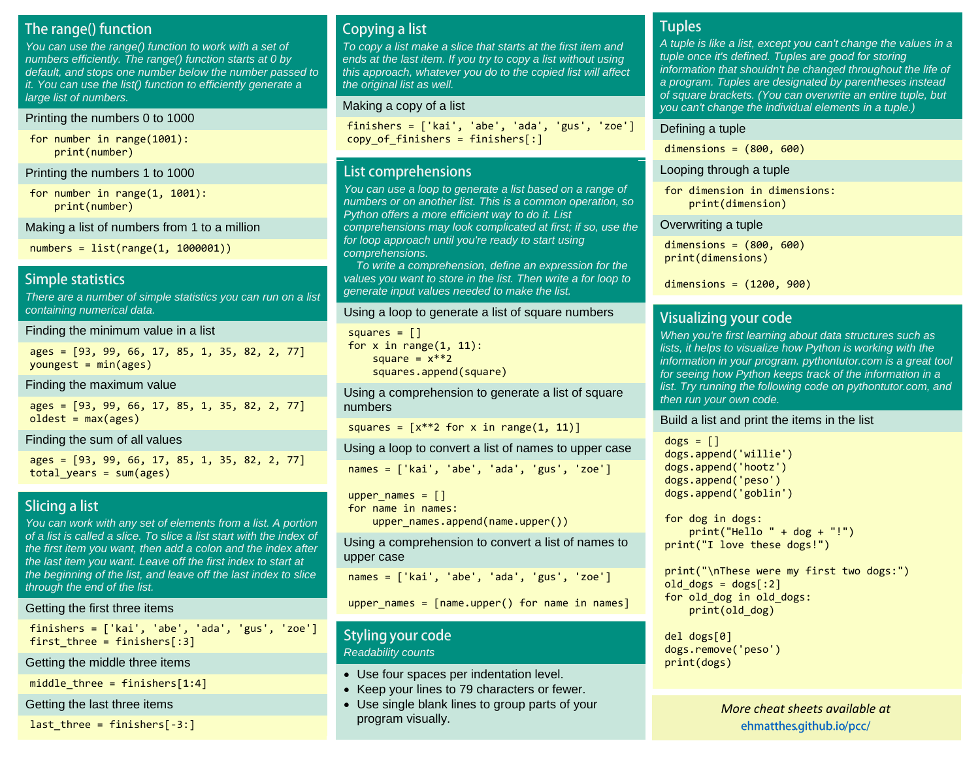### The range() function

You can use the range() function to work with a set of numbers efficiently. The range() function starts at 0 by default, and stops one number below the number passed to it. You can use the list() function to efficiently generate a large list of numbers.

#### Printing the numbers 0 to 1000

for number in range(1001): print(number)

Printing the numbers 1 to 1000

for number in range(1, 1001): print(number)

Making a list of numbers from 1 to a million

numbers = list(range(1, 1000001))

### **Simple statistics**

There are a number of simple statistics you can run on a list containing numerical data.

Finding the minimum value in a list

ages = [93, 99, 66, 17, 85, 1, 35, 82, 2, 77]  $voungest = min(ages)$ 

Finding the maximum value

ages = [93, 99, 66, 17, 85, 1, 35, 82, 2, 77]  $oldest = max(age)$ 

Finding the sum of all values

ages = [93, 99, 66, 17, 85, 1, 35, 82, 2, 77] total years =  $sum(ages)$ 

### **Slicing a list**

You can work with any set of elements from a list. A portion of a list is called a slice. To slice a list start with the index of the first item you want, then add a colon and the index after the last item you want. Leave off the first index to start at the beginning of the list, and leave off the last index to slice through the end of the list.

#### Getting the first three items

finishers = ['kai', 'abe', 'ada', 'gus', 'zoe'] first three = finishers $[:3]$ 

#### Getting the middle three items

middle three = finishers $[1:4]$ 

Getting the last three items

last three = finishers $[-3:]$ 

### Copying a list

To copy a list make a slice that starts at the first item and ends at the last item. If you try to copy a list without using this approach, whatever you do to the copied list will affect the original list as well.

#### Making a copy of a list

finishers = ['kai', 'abe', 'ada', 'gus', 'zoe'] copy of finishers = finishers $[:]$ 

### List comprehensions

You can use a loop to generate a list based on a range of numbers or on another list. This is a common operation, so Python offers a more efficient way to do it. List comprehensions may look complicated at first; if so, use the for loop approach until you're ready to start using comprehensions.

 To write a comprehension, define an expression for the values you want to store in the list. Then write a for loop to generate input values needed to make the list.

#### Using a loop to generate a list of square numbers

squares  $=$   $\lceil$ ] for  $x$  in range $(1, 11)$ : square =  $x**2$ squares.append(square)

Using a comprehension to generate a list of square numbers

```
squares = [x**2 for x in range(1, 11)]
```
Using a loop to convert a list of names to upper case

names = ['kai', 'abe', 'ada', 'gus', 'zoe']

```
upper names = []for name in names:
```
upper\_names.append(name.upper())

Using a comprehension to convert a list of names to upper case

names = ['kai', 'abe', 'ada', 'gus', 'zoe']

upper\_names = [name.upper() for name in names]

### Styling your code Readability counts

- Use four spaces per indentation level.
- Keep your lines to 79 characters or fewer.
- Use single blank lines to group parts of your program visually.

### **Tuples**

A tuple is like a list, except you can't change the values in a tuple once it's defined. Tuples are good for storing information that shouldn't be changed throughout the life of a program. Tuples are designated by parentheses instead of square brackets. (You can overwrite an entire tuple, but you can't change the individual elements in a tuple.)

#### Defining a tuple

dimensions = (800, 600)

#### Looping through a tuple

for dimension in dimensions: print(dimension)

#### Overwriting a tuple

dimensions = (800, 600) print(dimensions)

```
dimensions = (1200, 900)
```
### **Visualizing your code**

When you're first learning about data structures such as lists, it helps to visualize how Python is working with the information in your program. pythontutor.com is a great tool for seeing how Python keeps track of the information in a list. Try running the following code on pythontutor.com, and then run your own code.

Build a list and print the items in the list

```
dogs = []dogs.append('willie')
dogs.append('hootz')
dogs.append('peso')
dogs.append('goblin')
```
for dog in dogs:  $print("Hello " + dog + "!")$ print("I love these dogs!")

print("\nThese were my first two dogs:") old dogs =  $d$ ogs $[:2]$ for old\_dog in old\_dogs: print(old\_dog)

```
del dogs[0]
dogs.remove('peso')
print(dogs)
```
*M[ore cheat sheets available](http://ehmatthes.github.io/pcc/cheatsheets/README.html) at [More cheat sheets available at](http://github.com/ehmatthes/pcc/cheatsheets)* ehmatthes.github.io/pcc/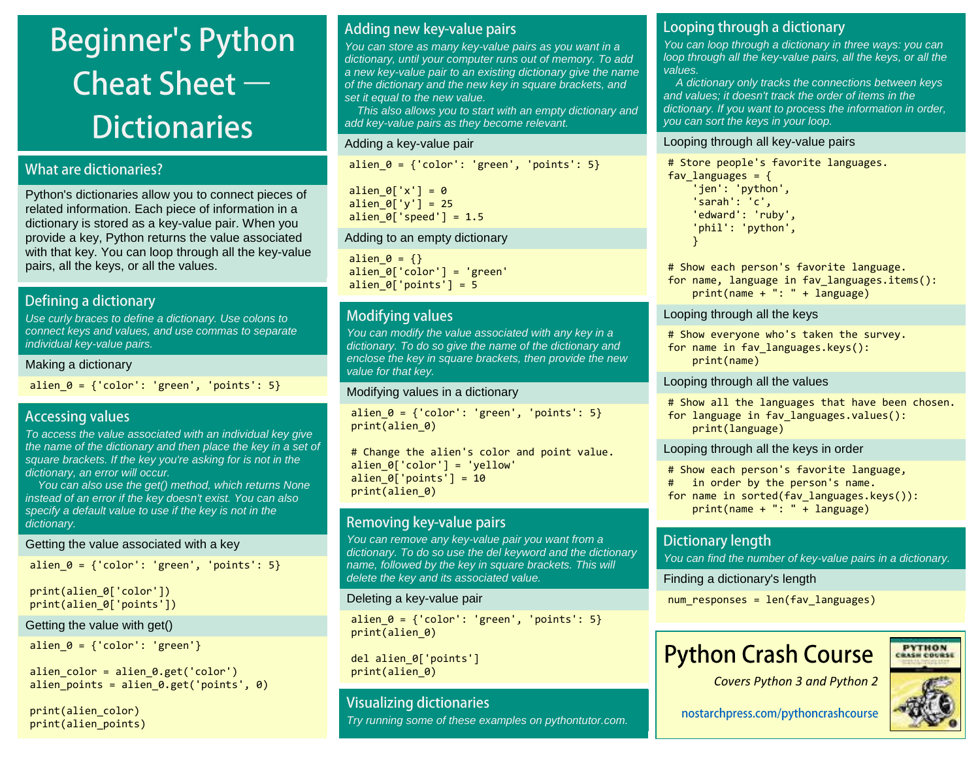# **Beginner's Python** Cheat Sheet  $-$ **Dictionaries**

### **What are dictionaries?**

Python's dictionaries allow you to connect pieces of related information. Each piece of information in a dictionary is stored as a key-value pair. When you provide a key, Python returns the value associated with that key. You can loop through all the key-value pairs, all the keys, or all the values.

### **Defining a dictionary**

Use curly braces to define a dictionary. Use colons to connect keys and values, and use commas to separate individual key-value pairs.

#### Making a dictionary

alien  $\theta = \{ 'color': 'green', 'points': 5 \}$ 

### **Accessing values**

To access the value associated with an individual key give the name of the dictionary and then place the key in a set of square brackets. If the key you're asking for is not in the dictionary, an error will occur.

 You can also use the get() method, which returns None instead of an error if the key doesn't exist. You can also specify a default value to use if the key is not in the dictionary.

#### Getting the value associated with a key

```
alien \theta = \{ 'color': 'green', 'points': 5 \}
```

```
print(alien 0['color'])
print(alien 0['points'])
```
### Getting the value with get()

alien  $0 = {'color': 'green'}$ 

alien color = alien  $0.get('color')$ alien points = alien  $\theta.get('points', \theta)$ 

print(alien\_color) print(alien\_points)

### Adding new key-value pairs

You can store as many key-value pairs as you want in a dictionary, until your computer runs out of memory. To add a new key-value pair to an existing dictionary give the name of the dictionary and the new key in square brackets, and set it equal to the new value.

 This also allows you to start with an empty dictionary and add key-value pairs as they become relevant.

### Adding a key-value pair

alien  $\theta = \{ 'color': 'green', 'points': 5 \}$ 

alien  $\theta$ ['x'] =  $\theta$ alien\_ $0['y'] = 25$ alien  $\theta$ ['speed'] = 1.5

### Adding to an empty dictionary

alien  $\theta = \{\}$ alien 0['color'] = 'green' alien  $0$ ['points'] = 5

### **Modifying values**

You can modify the value associated with any key in a dictionary. To do so give the name of the dictionary and enclose the key in square brackets, then provide the new value for that key.

### Modifying values in a dictionary

alien  $\theta = \{ 'color': 'green', 'points': 5 \}$ print(alien\_0)

# Change the alien's color and point value. alien  $0['color'] = 'yellow'$ alien  $0$ ['points'] = 10 print(alien\_0)

### Removing key-value pairs

You can remove any key-value pair you want from a dictionary. To do so use the del keyword and the dictionary name, followed by the key in square brackets. This will delete the key and its associated value.

### Deleting a key-value pair

alien  $\theta = \{ 'color': 'green', 'points': 5 \}$ print(alien\_0)

del alien\_0['points'] print(alien\_0)

### **Visualizing dictionaries**

Try running some of these examples on pythontutor.com.

### Looping through a dictionary

You can loop through a dictionary in three ways: you can loop through all the key-value pairs, all the keys, or all the values.

 A dictionary only tracks the connections between keys and values; it doesn't track the order of items in the dictionary. If you want to process the information in order, you can sort the keys in your loop.

### Looping through all key-value pairs

```
# Store people's favorite languages.
fav languages = \{ 'jen': 'python',
     'sarah': 'c',
     'edward': 'ruby',
     'phil': 'python',
     }
```
# Show each person's favorite language. for name, language in fav\_languages.items(): print(name + ": " + language)

### Looping through all the keys

# Show everyone who's taken the survey. for name in fav\_languages.keys(): print(name)

### Looping through all the values

# Show all the languages that have been chosen. for language in fav\_languages.values(): print(language)

Looping through all the keys in order

# Show each person's favorite language, # in order by the person's name. for name in sorted(fav languages.keys()): print(name + ": " + language)

### **Dictionary length**

You can find the number of key-value pairs in a dictionary.

Finding a dictionary's length

num\_responses = len(fav\_languages)

## **Python Crash Course**





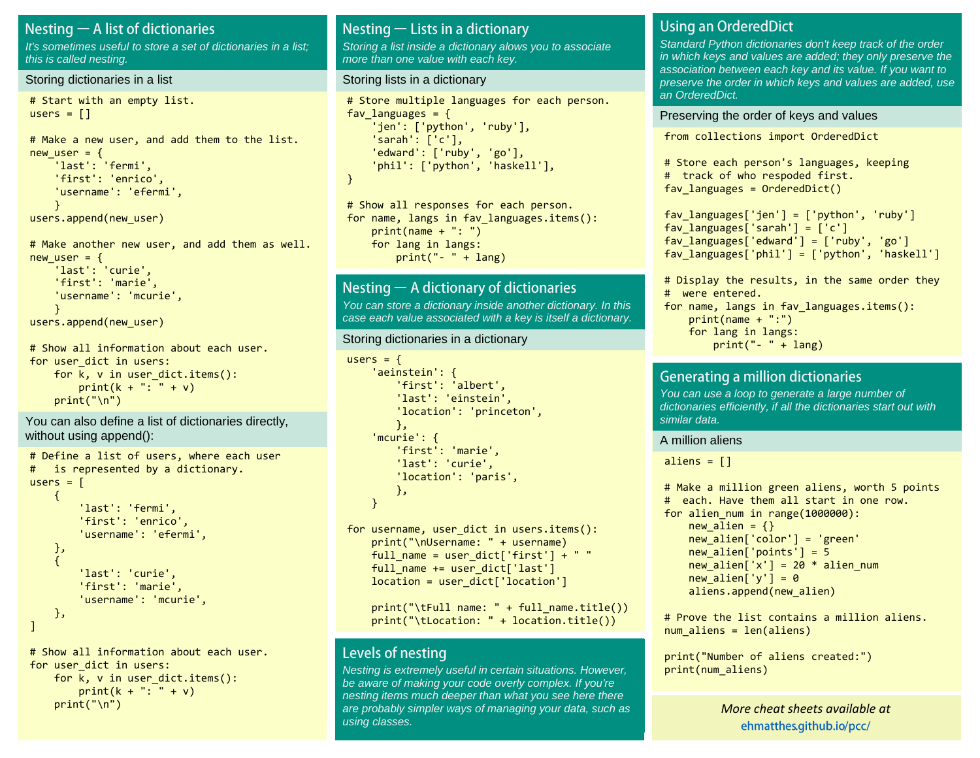### Nesting  $-$  A list of dictionaries

It's sometimes useful to store a set of dictionaries in a list: this is called nesting.

#### Storing dictionaries in a list

```
# Start with an empty list.
users = \lceil]
```

```
# Make a new user, and add them to the list.
new user = \{ 'last': 'fermi',
     'first': 'enrico',
     'username': 'efermi',
     }
users.append(new_user)
```

```
# Make another new user, and add them as well.
new user = \{ 'last': 'curie',
     'first': 'marie',
     'username': 'mcurie',
     }
users.append(new_user)
```

```
# Show all information about each user.
for user dict in users:
   for k, v in user dict.items():
       print(k + ": " + v)
   print("n")
```
You can also define a list of dictionaries directly, without using append():

```
# Define a list of users, where each user
# is represented by a dictionary.
users = <math>\lceil\left\{ \right. 'last': 'fermi',
           'first': 'enrico',
           'username': 'efermi',
     },
\overline{\phantom{a}} 'last': 'curie',
           'first': 'marie',
           'username': 'mcurie',
     },
]
```
# Show all information about each user. for user dict in users: for  $k$ ,  $v$  in user dict.items(): print( $k +$  ": " + v)  $print("n")$ 

### Nesting  $-$  Lists in a dictionary

Storing a list inside a dictionary alows you to associate more than one value with each key.

#### Storing lists in a dictionary

```
# Store multiple languages for each person.
fav languages = \{ 'jen': ['python', 'ruby'],
     'sarah': ['c'],
     'edward': ['ruby', 'go'],
     'phil': ['python', 'haskell'],
}
```
# Show all responses for each person. for name, langs in fav languages.items(): print(name + ": ") for lang in langs:  $print(" - " + lang)$ 

### Nesting  $-$  A dictionary of dictionaries

You can store a dictionary inside another dictionary. In this case each value associated with a key is itself a dictionary.

#### Storing dictionaries in a dictionary

```
users = {
     'aeinstein': {
         'first': 'albert',
         'last': 'einstein',
         'location': 'princeton',
         },
     'mcurie': {
         'first': 'marie',
         'last': 'curie',
         'location': 'paris',
         },
    }
for username, user dict in users.items():
     print("\nUsername: " + username)
    full name = user dict['first'] + " "
    full name += user dict['last']
```

```
location = user dict['location']
print("tFull name: " + full name.title())
```

```
 print("\tLocation: " + location.title())
```
### Levels of nesting

Nesting is extremely useful in certain situations. However, be aware of making your code overly complex. If you're nesting items much deeper than what you see here there are probably simpler ways of managing your data, such as using classes.

### **Using an OrderedDict**

Standard Python dictionaries don't keep track of the order in which keys and values are added; they only preserve the association between each key and its value. If you want to preserve the order in which keys and values are added, use an OrderedDict.

#### Preserving the order of keys and values

from collections import OrderedDict

```
# Store each person's languages, keeping
# track of who respoded first.
fav languages = OrderedDict()
```

```
fav languages['jen'] = ['python', 'ruby']
fav languages['sarah'] = ['c']fav languages['edward'] = ['ruby', 'go']fav languages['phil'] = ['python', 'haskell']
```

```
# Display the results, in the same order they
# were entered.
for name, langs in fav languages.items():
     print(name + ":")
     for lang in langs:
        print(" - " + lang)
```
### **Generating a million dictionaries**

You can use a loop to generate a large number of dictionaries efficiently, if all the dictionaries start out with similar data.

#### A million aliens

aliens  $= []$ 

```
# Make a million green aliens, worth 5 points
# each. Have them all start in one row.
for alien_num in range(1000000):
    new alien = {}}
    new alien['color'] = 'green'
    new alien['points'] = 5
    new alien['x'] = 20 * alien num
   new alien['y'] = 0aliens.append(new alien)
```
# Prove the list contains a million aliens. num aliens = len(aliens)

```
print("Number of aliens created:")
print(num_aliens)
```
*M[ore cheat sheets available](http://ehmatthes.github.io/pcc/cheatsheets/README.html) at [More cheat sheets available at](http://github.com/ehmatthes/pcc/cheatsheets)* ehmatthes.github.io/pcc/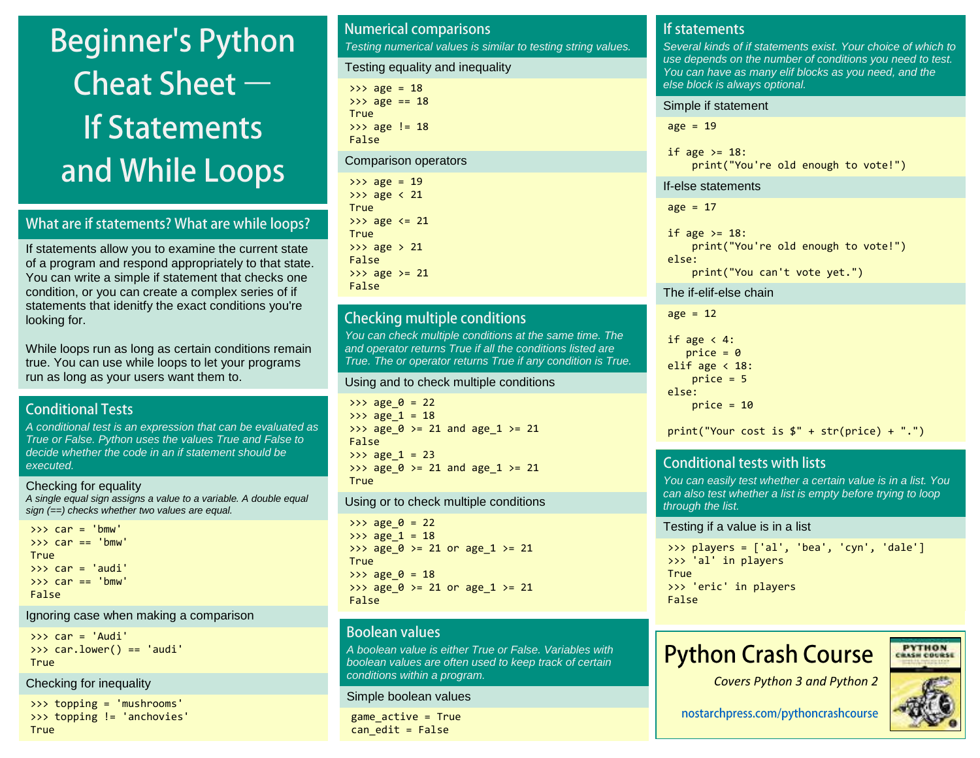# **Beginner's Python** Cheat Sheet  $-$ **If Statements** and While Loops

### What are if statements? What are while loops?

If statements allow you to examine the current state of a program and respond appropriately to that state. You can write a simple if statement that checks one condition, or you can create a complex series of if statements that idenitfy the exact conditions you're looking for.

While loops run as long as certain conditions remain true. You can use while loops to let your programs run as long as your users want them to.

### **Conditional Tests**

A conditional test is an expression that can be evaluated as True or False. Python uses the values True and False to decide whether the code in an if statement should be executed.

Checking for equality A single equal sign assigns a value to a variable. A double equal sign (==) checks whether two values are equal.

```
>>> car = 'bmw'
\Rightarrow \ge \le \text{car} = \le \le \text{bmw}True
\rightarrow \rightarrow \cdot car = 'audi'
\Rightarrow \Rightarrow \text{car} == \text{ 'bmw}False
```
### Ignoring case when making a comparison

>>> car = 'Audi' >>> car.lower() == 'audi' True

### Checking for inequality

```
>>> topping = 'mushrooms'
>>> topping != 'anchovies'
True
```
#### **Numerical comparisons** Testing numerical values is similar to testing string values. Testing equality and inequality  $\gg$  age = 18  $\gg$  age == 18 True >>> age != 18 False Comparison operators  $\gg$  age = 19 >>> age < 21 **True**  $\gg$  age  $\le$  21 True  $\gg$  age  $> 21$ False  $\gg$  age  $>$  21

### **Checking multiple conditions**

False

You can check multiple conditions at the same time. The and operator returns True if all the conditions listed are True. The or operator returns True if any condition is True.

#### Using and to check multiple conditions

 $\gg$  age  $0 = 22$  $>>$  age  $1 = 18$ >>> age  $0$  >= 21 and age  $1$  >= 21 False  $\gg$  age 1 = 23 >>>  $age_0$  >= 21 and  $age_1$  >= 21 **True** 

#### Using or to check multiple conditions

 $\implies$  age\_0 = 22 >>> age  $1 = 18$ >>> age\_0 >= 21 or age\_1 >= 21 **True**  $\gg$  age  $0 = 18$ >>> age\_0 >= 21 or age\_1 >= 21 False

### **Boolean values**

A boolean value is either True or False. Variables with boolean values are often used to keep track of certain conditions within a program.

#### Simple boolean values

game\_active = True  $can$  edit = False

### If statements

Several kinds of if statements exist. Your choice of which to use depends on the number of conditions you need to test. You can have as many elif blocks as you need, and the else block is always optional.

#### Simple if statement

 $age = 19$ 

if age  $>= 18$ : print("You're old enough to vote!")

#### If-else statements

 $age = 17$ 

```
if age >= 18:
     print("You're old enough to vote!")
else:
     print("You can't vote yet.")
```
#### The if-elif-else chain

 $age = 12$ 

```
if age \langle 4:price = 0elif age \langle 18:price = 5else:
    price = 10
```
 $print("Your cost is $" + str(price) + ".")$ 

### **Conditional tests with lists**

You can easily test whether a certain value is in a list. You can also test whether a list is empty before trying to loop through the list.

#### Testing if a value is in a list

```
>>> players = ['al', 'bea', 'cyn', 'dale']
>>> 'al' in players
True
>>> 'eric' in players
False
```
## **Python Crash Course**





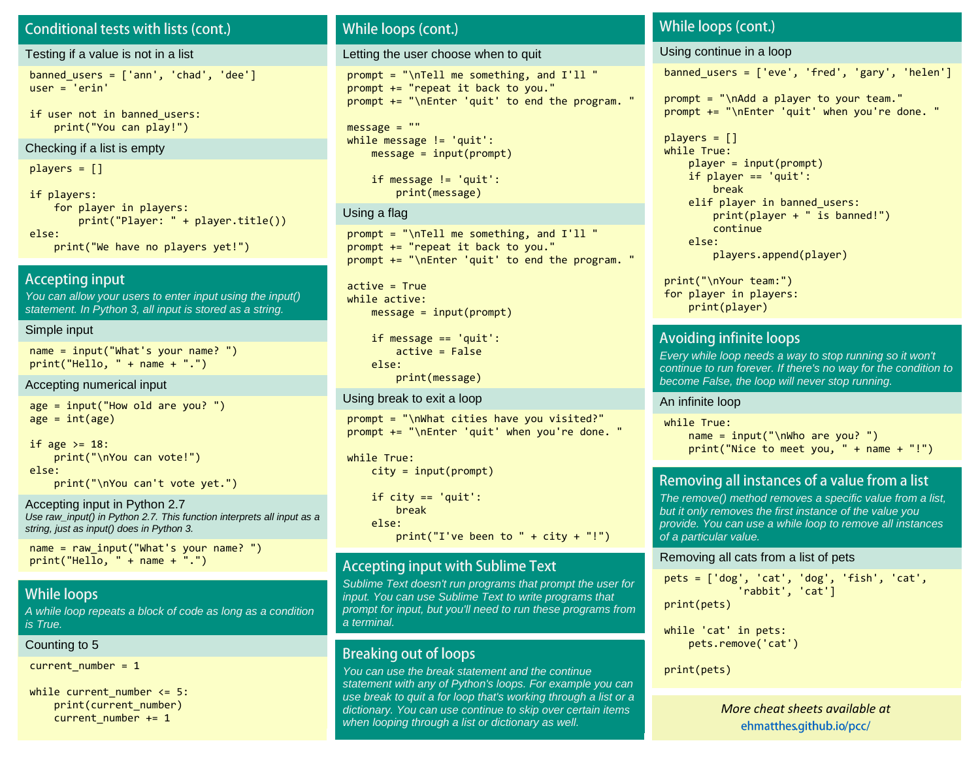### Conditional tests with lists (cont.)

#### Testing if a value is not in a list

 $banned_users = ['ann', 'chad', 'dee']$ user = 'erin'

if user not in banned users: print("You can play!")

#### Checking if a list is empty

players = []

if players: for player in players: print("Player: " + player.title()) else: print("We have no players yet!")

### **Accepting input**

You can allow your users to enter input using the input() statement. In Python 3, all input is stored as a string.

#### Simple input

name = input("What's your name? ")  $print("Hello, " + name + ".")$ 

#### Accepting numerical input

age = input("How old are you? ")  $age = int(age)$ 

```
if age >= 18:
     print("\nYou can vote!")
else:
     print("\nYou can't vote yet.")
```
Accepting input in Python 2.7 Use raw\_input() in Python 2.7. This function interprets all input as a string, just as input() does in Python 3.

name = raw input("What's your name? ")  $print("Hello, " + name + ".")$ 

### **While loops**

A while loop repeats a block of code as long as a condition is True.

#### Counting to 5

current number =  $1$ 

while current number  $\leq 5$ : print(current\_number) current number  $+= 1$ 

### While loops (cont.)

Letting the user choose when to quit

prompt = "\nTell me something, and I'll " prompt += "repeat it back to you." prompt += "\nEnter 'quit' to end the program. "

 $message = ""$ while message != 'quit': message = input(prompt)

> if message != 'quit': print(message)

#### Using a flag

prompt = "\nTell me something, and I'll " prompt += "repeat it back to you." prompt += "\nEnter 'quit' to end the program. "

 $active = True$ while active:  $message = input(prompt)$ 

> if message == 'quit': active = False else: print(message)

#### Using break to exit a loop

prompt = "\nWhat cities have you visited?" prompt += "\nEnter 'quit' when you're done. "

```
while True:
     city = input(prompt)
```
if city  $== 'quit':$  break else: print("I've been to " + city + "!")

### **Accepting input with Sublime Text**

Sublime Text doesn't run programs that prompt the user for input. You can use Sublime Text to write programs that prompt for input, but you'll need to run these programs from a terminal.

### **Breaking out of loops**

You can use the break statement and the continue **print(pets)** statement with any of Python's loops. For example you can use break to quit a for loop that's working through a list or a dictionary. You can use continue to skip over certain items when looping through a list or dictionary as well.

### While loops (cont.)

Using continue in a loop

banned users =  $['eve', 'fred', 'gary', 'helen']$ 

prompt = "\nAdd a player to your team." prompt += "\nEnter 'quit' when you're done. "

```
players = []while True:
    player = input(prompt) if player == 'quit':
         break
    elif player in banned users:
         print(player + " is banned!")
         continue
     else:
         players.append(player)
```
print("\nYour team:") for player in players: print(player)

### Avoiding infinite loops

Every while loop needs a way to stop running so it won't continue to run forever. If there's no way for the condition to become False, the loop will never stop running.

#### An infinite loop

while True:  $name = input("\\hwho are you?")$ print("Nice to meet you, " + name + "!")

### Removing all instances of a value from a list

The remove() method removes a specific value from a list, but it only removes the first instance of the value you provide. You can use a while loop to remove all instances of a particular value.

#### Removing all cats from a list of pets

pets = ['dog', 'cat', 'dog', 'fish', 'cat', 'rabbit', 'cat'] print(pets)

```
while 'cat' in pets:
     pets.remove('cat')
```
*M[ore cheat sheets available](http://ehmatthes.github.io/pcc/cheatsheets/README.html) at [More cheat sheets available at](http://github.com/ehmatthes/pcc/cheatsheets)* ehmatthes.github.io/pcc/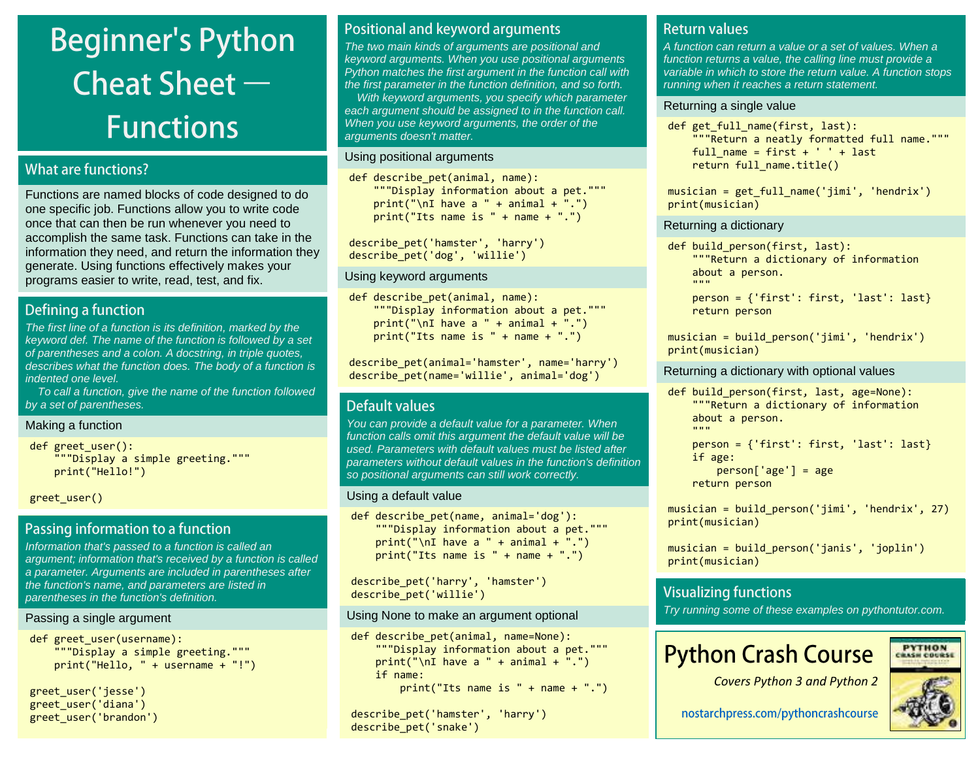# **Beginner's Python** Cheat Sheet  $-$ **Functions**

### What are functions?

Functions are named blocks of code designed to do one specific job. Functions allow you to write code once that can then be run whenever you need to accomplish the same task. Functions can take in the information they need, and return the information they generate. Using functions effectively makes your programs easier to write, read, test, and fix.

### Defining a function

The first line of a function is its definition, marked by the keyword def. The name of the function is followed by a set of parentheses and a colon. A docstring, in triple quotes, describes what the function does. The body of a function is indented one level.

 To call a function, give the name of the function followed by a set of parentheses.

#### Making a function

def greet user(): """Display a simple greeting.""" print("Hello!")

greet\_user()

### Passing information to a function

Information that's passed to a function is called an argument; information that's received by a function is called a parameter. Arguments are included in parentheses after the function's name, and parameters are listed in parentheses in the function's definition.

### Passing a single argument

```
def greet user(username):
     """Display a simple greeting."""
     print("Hello, " + username + "!")
```

```
greet_user('jesse')
greet_user('diana')
greet_user('brandon')
```
### Positional and keyword arguments

The two main kinds of arguments are positional and keyword arguments. When you use positional arguments Python matches the first argument in the function call with the first parameter in the function definition, and so forth. With keyword arguments, you specify which parameter

each argument should be assigned to in the function call. When you use keyword arguments, the order of the arguments doesn't matter.

### Using positional arguments

def describe pet(animal, name): """Display information about a pet.""" print("\nI have a " + animal + ".") print("Its name is " + name + ".")

describe\_pet('hamster', 'harry') describe\_pet('dog', 'willie')

### Using keyword arguments

```
def describe pet(animal, name):
     """Display information about a pet."""
   print("\nI have a " + animal + ".")print("Its name is " + name + ".")
```
describe\_pet(animal='hamster', name='harry') describe pet(name='willie', animal='dog')

### Default values

You can provide a default value for a parameter. When function calls omit this argument the default value will be used. Parameters with default values must be listed after parameters without default values in the function's definition so positional arguments can still work correctly.

### Using a default value

```
def describe pet(name, animal='dog'):
     """Display information about a pet."""
    print("\nI have a " + animal + ".")
    print("Its name is " + name + ".")
```
describe\_pet('harry', 'hamster') describe\_pet('willie')

### Using None to make an argument optional

```
def describe pet(animal, name=None):
     """Display information about a pet."""
    print("\nI have a " + animal + ".")
     if name:
        print("Its name is " + name + ".")
```

```
describe_pet('hamster', 'harry')
describe_pet('snake')
```
### **Return values**

A function can return a value or a set of values. When a function returns a value, the calling line must provide a variable in which to store the return value. A function stops running when it reaches a return statement.

### Returning a single value

def get full name(first, last): """Return a neatly formatted full name.""" full name = first +  $'$  ' + last return full name.title()

musician = get full name('jimi', 'hendrix') print(musician)

### Returning a dictionary

```
def build person(first, last):
     """Return a dictionary of information
     about a person.
 """
```

```
 person = {'first': first, 'last': last}
 return person
```
musician = build person('jimi', 'hendrix') print(musician)

### Returning a dictionary with optional values

def build person(first, last, age=None): """Return a dictionary of information about a person. "" "" "" person = {'first': first, 'last': last} if age:  $person['age'] = age$ return person

musician = build\_person('jimi', 'hendrix', 27) print(musician)

```
musician = build_person('janis', 'joplin')
print(musician)
```
### **Visualizing functions**

Try running some of these examples on pythontutor.com.

## **Python Crash Course**

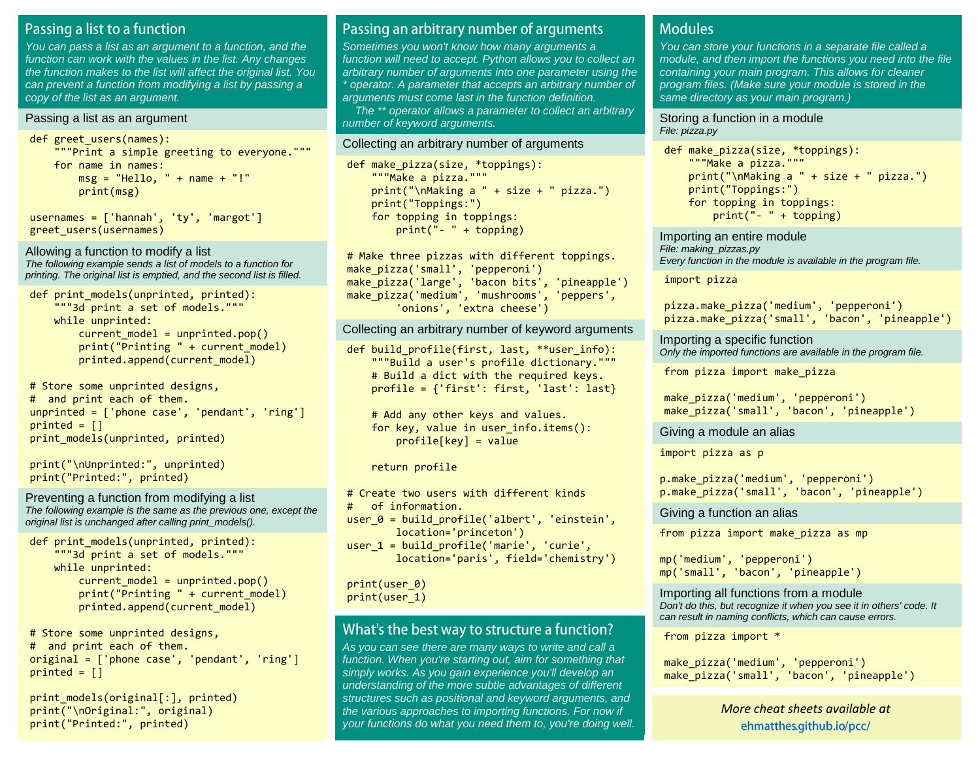### Passing a list to a function

You can pass a list as an argument to a function, and the function can work with the values in the list. Any changes the function makes to the list will affect the original list. You can prevent a function from modifying a list by passing a copy of the list as an argument.

#### Passing a list as an argument

```
def greet users(names):
     """Print a simple greeting to everyone."""
     for name in names:
        msg = "Hello, " + name + "!" print(msg)
```
usernames = ['hannah', 'ty', 'margot'] greet\_users(usernames)

Allowing a function to modify a list The following example sends a list of models to a function for printing. The original list is emptied, and the second list is filled.

```
def print models(unprinted, printed):
     """3d print a set of models."""
     while unprinted:
        current model = unprinted.pop()
         print("Printing " + current_model)
        printed.append(current model)
```
# Store some unprinted designs, # and print each of them. unprinted = ['phone case', 'pendant', 'ring']  $printed = []$ print models(unprinted, printed)

```
print("\nUnprinted:", unprinted)
print("Printed:", printed)
```
Preventing a function from modifying a list The following example is the same as the previous one, except the original list is unchanged after calling print\_models().

```
def print models(unprinted, printed):
     """3d print a set of models."""
     while unprinted:
        current model = unprinted.pop()
         print("Printing " + current_model)
        printed.append(current model)
```
# Store some unprinted designs, # and print each of them. original = ['phone case', 'pendant', 'ring']  $printed = []$ 

print models(original[:], printed) print("\nOriginal:", original) print("Printed:", printed)

### Passing an arbitrary number of arguments

Sometimes you won't know how many arguments a function will need to accept. Python allows you to collect an arbitrary number of arguments into one parameter using the \* operator. A parameter that accepts an arbitrary number of arguments must come last in the function definition.

 The \*\* operator allows a parameter to collect an arbitrary number of keyword arguments.

#### Collecting an arbitrary number of arguments

```
def make_pizza(size, *toppings):
     """Make a pizza."""
     print("\nMaking a " + size + " pizza.")
     print("Toppings:")
    for topping in toppings:
         print("- " + topping)
```
# Make three pizzas with different toppings. make\_pizza('small', 'pepperoni') make\_pizza('large', 'bacon bits', 'pineapple') make pizza('medium', 'mushrooms', 'peppers', 'onions', 'extra cheese')

Collecting an arbitrary number of keyword arguments

def build profile(first, last, \*\*user info): """Build a user's profile dictionary.""" # Build a dict with the required keys. profile = {'first': first, 'last': last}

```
 # Add any other keys and values.
for key, value in user info.items():
     profile[key] = value
```
return profile

```
# Create two users with different kinds
# of information.
user \theta = build profile('albert', 'einstein',
         location='princeton')
```

```
user 1 = \text{build profile('marie', 'curie',}) location='paris', field='chemistry')
```
print(user\_0) print(user\_1)

### What's the best way to structure a function?

As you can see there are many ways to write and call a function. When you're starting out, aim for something that simply works. As you gain experience you'll develop an understanding of the more subtle advantages of different structures such as positional and keyword arguments, and the various approaches to importing functions. For now if your functions do what you need them to, you're doing well.

### **Modules**

You can store your functions in a separate file called a module, and then import the functions you need into the file containing your main program. This allows for cleaner program files. (Make sure your module is stored in the same directory as your main program.)

#### Storing a function in a module File: pizza.py

```
def make_pizza(size, *toppings):
     """Make a pizza."""
    print("\\mAking a " + size + " pizza.") print("Toppings:")
     for topping in toppings:
         print("- " + topping)
```
Importing an entire module File: making\_pizzas.py Every function in the module is available in the program file.

import pizza

pizza.make\_pizza('medium', 'pepperoni') pizza.make\_pizza('small', 'bacon', 'pineapple')

Importing a specific function Only the imported functions are available in the program file.

from pizza import make\_pizza

```
make_pizza('medium', 'pepperoni')
make pizza('small', 'bacon', 'pineapple')
```
Giving a module an alias

import pizza as p

p.make\_pizza('medium', 'pepperoni') p.make\_pizza('small', 'bacon', 'pineapple')

Giving a function an alias

from pizza import make pizza as mp

```
mp('medium', 'pepperoni')
mp('small', 'bacon', 'pineapple')
```
Importing all functions from a module Don't do this, but recognize it when you see it in others' code. It can result in naming conflicts, which can cause errors.

from pizza import \*

```
make_pizza('medium', 'pepperoni')
make_pizza('small', 'bacon', 'pineapple')
```
*M[ore cheat sheets available](http://ehmatthes.github.io/pcc/cheatsheets/README.html) at [More cheat sheets available at](http://github.com/ehmatthes/pcc/cheatsheets)* ehmatthes.github.io/pcc/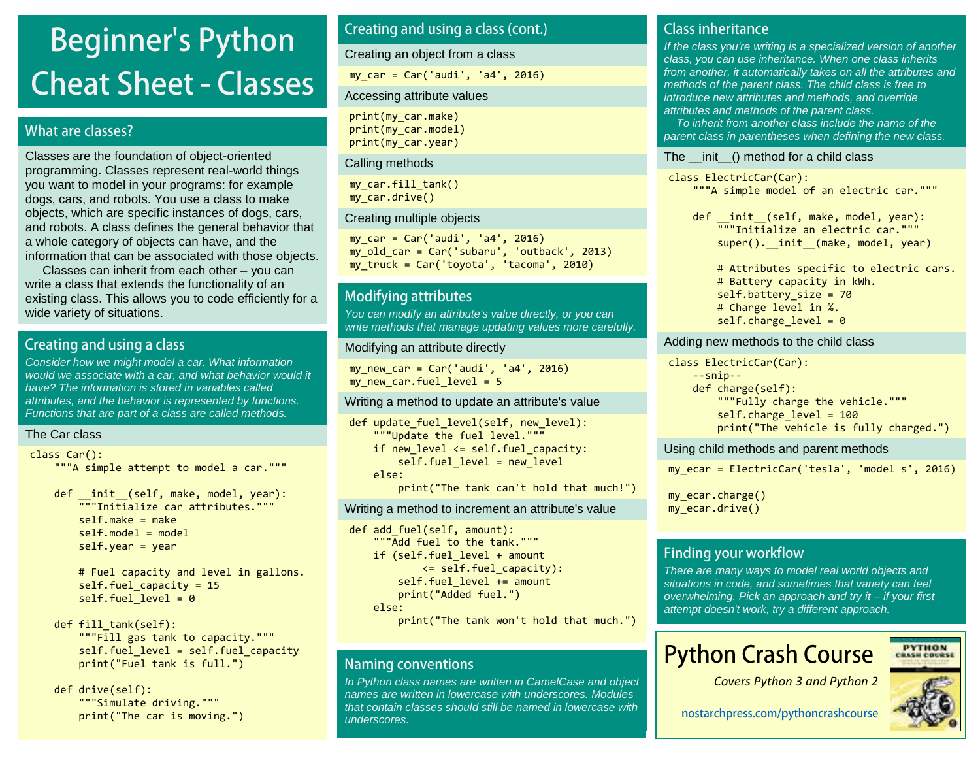# **Beginner's Python Cheat Sheet - Classes**

### What are classes?

Classes are the foundation of object-oriented programming. Classes represent real-world things you want to model in your programs: for example dogs, cars, and robots. You use a class to make objects, which are specific instances of dogs, cars, and robots. A class defines the general behavior that a whole category of objects can have, and the information that can be associated with those objects.

 Classes can inherit from each other – you can write a class that extends the functionality of an existing class. This allows you to code efficiently for a wide variety of situations.

### Creating and using a class

Consider how we might model a car. What information would we associate with a car, and what behavior would it have? The information is stored in variables called attributes, and the behavior is represented by functions. Functions that are part of a class are called methods.

### The Car class

```
class Car():
```
"""A simple attempt to model a car."""

def \_\_init (self, make, model, year): """Initialize car attributes."""  $self.make = make$  $self.$ model = model self.year = year

> # Fuel capacity and level in gallons. self.fuel capacity =  $15$ self.fuel level =  $0$

```
def fill tank(self):
     """Fill gas tank to capacity."""
    self.fuel level = self.fuel capacity
     print("Fuel tank is full.")
```
 def drive(self): """Simulate driving.""" print("The car is moving.")

### Creating and using a class (cont.)

Creating an object from a class

my\_car = Car('audi', 'a4', 2016)

### Accessing attribute values

print(my\_car.make) print(my\_car.model) print(my\_car.year)

#### Calling methods

my car.fill tank() my\_car.drive()

#### Creating multiple objects

my  $car = Car('audi', 'a4', 2016)$ my\_old\_car = Car('subaru', 'outback', 2013) my\_truck = Car('toyota', 'tacoma', 2010)

### **Modifying attributes**

You can modify an attribute's value directly, or you can write methods that manage updating values more carefully.

#### Modifying an attribute directly

my\_new\_car = Car('audi', 'a4', 2016) my new car.fuel level =  $5$ 

#### Writing a method to update an attribute's value

```
def update fuel level(self, new level):
     """Update the fuel level."""
    if new level \le self.fuel capacity:
        self.fuel level = new level
     else:
         print("The tank can't hold that much!")
```
Writing a method to increment an attribute's value

```
def add fuel(self, amount):
     """Add fuel to the tank."""
    if (self.fuel level + amount
            \le self.fuel capacity):
        self.fuel level += amount print("Added fuel.")
     else:
         print("The tank won't hold that much.")
```
### **Naming conventions**

In Python class names are written in CamelCase and object names are written in lowercase with underscores. Modules that contain classes should still be named in lowercase with underscores.

### **Class inheritance**

If the class you're writing is a specialized version of another class, you can use inheritance. When one class inherits from another, it automatically takes on all the attributes and methods of the parent class. The child class is free to introduce new attributes and methods, and override attributes and methods of the parent class.

 To inherit from another class include the name of the parent class in parentheses when defining the new class.

#### The \_\_init\_\_() method for a child class

class ElectricCar(Car): """A simple model of an electric car."""

def \_\_init\_\_(self, make, model, year): """Initialize an electric car.""" super(). init (make, model, year)

 # Attributes specific to electric cars. # Battery capacity in kWh. self.battery\_size = 70 # Charge level in %. self.charge level =  $0$ 

#### Adding new methods to the child class

class ElectricCar(Car): --snip- def charge(self): """Fully charge the vehicle.""" self.charge level =  $100$ print("The vehicle is fully charged.")

Using child methods and parent methods

my\_ecar = ElectricCar('tesla', 'model s', 2016)

my\_ecar.charge() my\_ecar.drive()

### **Finding your workflow**

There are many ways to model real world objects and situations in code, and sometimes that variety can feel overwhelming. Pick an approach and try it *–* if your first attempt doesn't work, try a different approach.

## **Python Crash Course**



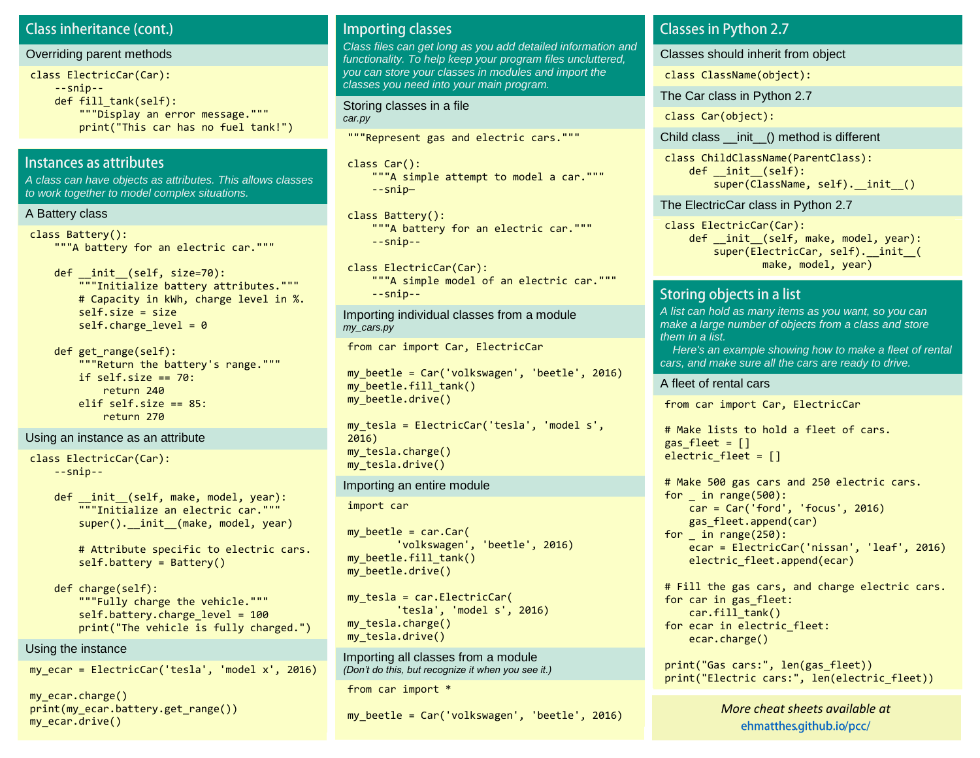### **Class inheritance (cont.)**

#### Overriding parent methods

```
class ElectricCar(Car):
     --snip--
    def fill tank(self):
         """Display an error message."""
         print("This car has no fuel tank!")
```
### Instances as attributes

A class can have objects as attributes. This allows classes to work together to model complex situations.

#### A Battery class

```
class Battery():
     """A battery for an electric car."""
```
- def \_\_ init (self, size=70): """Initialize battery attributes.""" # Capacity in kWh, charge level in %. self.size = size self.charge level =  $0$
- def get range(self): """Return the battery's range.""" if self.size  $== 70$ : return 240 elif self.size  $== 85$ : return 270

#### Using an instance as an attribute

```
class ElectricCar(Car):
     --snip--
```
def \_\_init (self, make, model, year): """Initialize an electric car.""" super(). init (make, model, year)

 # Attribute specific to electric cars. self.battery = Battery()

```
 def charge(self):
     """Fully charge the vehicle."""
    self.battery.charge level = 100
     print("The vehicle is fully charged.")
```
#### Using the instance

my ecar = ElectricCar('tesla', 'model  $x'$ , 2016)

my\_ecar.charge() print(my ecar.battery.get range()) mv ecar.drive()

### **Importing classes**

Class files can get long as you add detailed information and functionality. To help keep your program files uncluttered, you can store your classes in modules and import the classes you need into your main program.

Storing classes in a file car.py

"""Represent gas and electric cars."""

class Car(): """A simple attempt to model a car.""" --snip—

class Battery(): """A battery for an electric car.""" --snip--

class ElectricCar(Car): """A simple model of an electric car.""" --snip--

Importing individual classes from a module my\_cars.py

from car import Car, ElectricCar

my\_beetle = Car('volkswagen', 'beetle', 2016) my beetle.fill tank() my\_beetle.drive()

my tesla = ElectricCar('tesla', 'model s', 2016) my\_tesla.charge() my\_tesla.drive()

#### Importing an entire module

import car

my beetle =  $car.Car($  'volkswagen', 'beetle', 2016) my beetle.fill tank() my\_beetle.drive()

 $my$  tesla = car.ElectricCar( 'tesla', 'model s', 2016) my\_tesla.charge() my\_tesla.drive()

Importing all classes from a module *(Don't do this, but recognize it when you see it.)*

from car import \*

my\_beetle = Car('volkswagen', 'beetle', 2016)

### **Classes in Python 2.7**

Classes should inherit from object

class ClassName(object):

The Car class in Python 2.7

class Car(object):

Child class \_\_init\_\_() method is different

class ChildClassName(ParentClass): def \_\_init\_\_(self): super(ClassName, self). init ()

The ElectricCar class in Python 2.7

class ElectricCar(Car): def \_\_init (self, make, model, year): super(ElectricCar, self).\_\_init\_\_( make, model, year)

### Storing objects in a list

A list can hold as many items as you want, so you can make a large number of objects from a class and store them in a list.

 Here's an example showing how to make a fleet of rental cars, and make sure all the cars are ready to drive.

#### A fleet of rental cars

from car import Car, ElectricCar

# Make lists to hold a fleet of cars. gas  $fleet = []$ electric fleet =  $[$ ]

```
# Make 500 gas cars and 250 electric cars.
for in range(500): car = Car('ford', 'focus', 2016)
     gas_fleet.append(car)
for \_ in range(250):
     ecar = ElectricCar('nissan', 'leaf', 2016)
    electric fleet.append(ecar)
```
# Fill the gas cars, and charge electric cars. for car in gas\_fleet: car.fill tank() for ecar in electric fleet: ecar.charge()

print("Gas cars:", len(gas\_fleet)) print("Electric cars:", len(electric\_fleet))

> *M[ore cheat sheets available](http://ehmatthes.github.io/pcc/cheatsheets/README.html) at [More cheat sheets available at](http://github.com/ehmatthes/pcc/cheatsheets)* ehmatthes.github.io/pcc/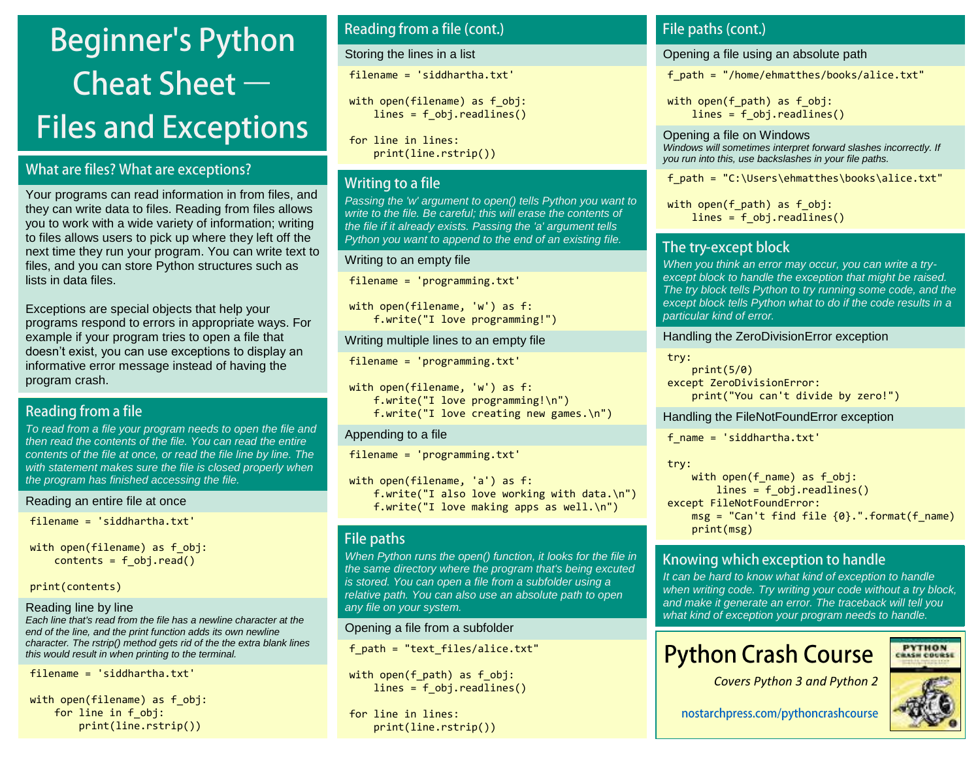# **Beginner's Python** Cheat Sheet  $-$ **Files and Exceptions**

### What are files? What are exceptions?

Your programs can read information in from files, and they can write data to files. Reading from files allows you to work with a wide variety of information; writing to files allows users to pick up where they left off the next time they run your program. You can write text to files, and you can store Python structures such as lists in data files.

Exceptions are special objects that help your programs respond to errors in appropriate ways. For example if your program tries to open a file that doesn't exist, you can use exceptions to display an informative error message instead of having the program crash.

### Reading from a file

To read from a file your program needs to open the file and then read the contents of the file. You can read the entire contents of the file at once, or read the file line by line. The with statement makes sure the file is closed properly when the program has finished accessing the file.

```
Reading an entire file at once
```

```
filename = 'siddhartha.txt'
```

```
with open(filename) as f obj:
   contents = fobj.read()
```
print(contents)

### Reading line by line

Each line that's read from the file has a newline character at the end of the line, and the print function adds its own newline character. The rstrip() method gets rid of the the extra blank lines this would result in when printing to the terminal.

filename = 'siddhartha.txt'

with open(filename) as f obj: for line in f\_obj: print(line.rstrip())

### Reading from a file (cont.)

Storing the lines in a list

filename = 'siddhartha.txt'

with open(filename) as f obj: lines = f obj.readlines()

for line in lines: print(line.rstrip())

### Writing to a file

Passing the 'w' argument to open() tells Python you want to write to the file. Be careful; this will erase the contents of the file if it already exists. Passing the 'a' argument tells Python you want to append to the end of an existing file.

### Writing to an empty file

```
filename = 'programming.txt'
```

```
with open(filename, 'w') as f:
    f.write("I love programming!")
```
Writing multiple lines to an empty file

```
filename = 'programming.txt'
```

```
with open(filename, 'w') as f:
     f.write("I love programming!\n")
     f.write("I love creating new games.\n")
```
### Appending to a file

filename = 'programming.txt'

```
with open(filename, 'a') as f:
    f.write("I also love working with data.\n")
    f.write("I love making apps as well.\n")
```
### File paths

When Python runs the open() function, it looks for the file in the same directory where the program that's being excuted is stored. You can open a file from a subfolder using a relative path. You can also use an absolute path to open any file on your system.

### Opening a file from a subfolder

f\_path = "text\_files/alice.txt"

with open(f path) as  $f$  obj:  $lines = fobj.readlines()$ 

for line in lines: print(line.rstrip())

### File paths (cont.)

Opening a file using an absolute path

f\_path = "/home/ehmatthes/books/alice.txt"

with open(f path) as  $f$  obj:  $lines = fobj.readlines()$ 

Opening a file on Windows Windows will sometimes interpret forward slashes incorrectly. If you run into this, use backslashes in your file paths.

f path = "C:\Users\ehmatthes\books\alice.txt"

with open(f path) as  $f$  obj: lines = f obj.readlines()

### The try-except block

When you think an error may occur, you can write a tryexcept block to handle the exception that might be raised. The try block tells Python to try running some code, and the except block tells Python what to do if the code results in a particular kind of error.

### Handling the ZeroDivisionError exception

try:

 print(5/0) except ZeroDivisionError: print("You can't divide by zero!")

### Handling the FileNotFoundError exception

f\_name = 'siddhartha.txt'

try:

with open(f name) as f  $obj$ : lines = f obj.readlines() except FileNotFoundError:  $msg = "Can't find file {0}.".format(f name)$ print(msg)

### Knowing which exception to handle

It can be hard to know what kind of exception to handle when writing code. Try writing your code without a try block, and make it generate an error. The traceback will tell you what kind of exception your program needs to handle.

## **Python Crash Course**

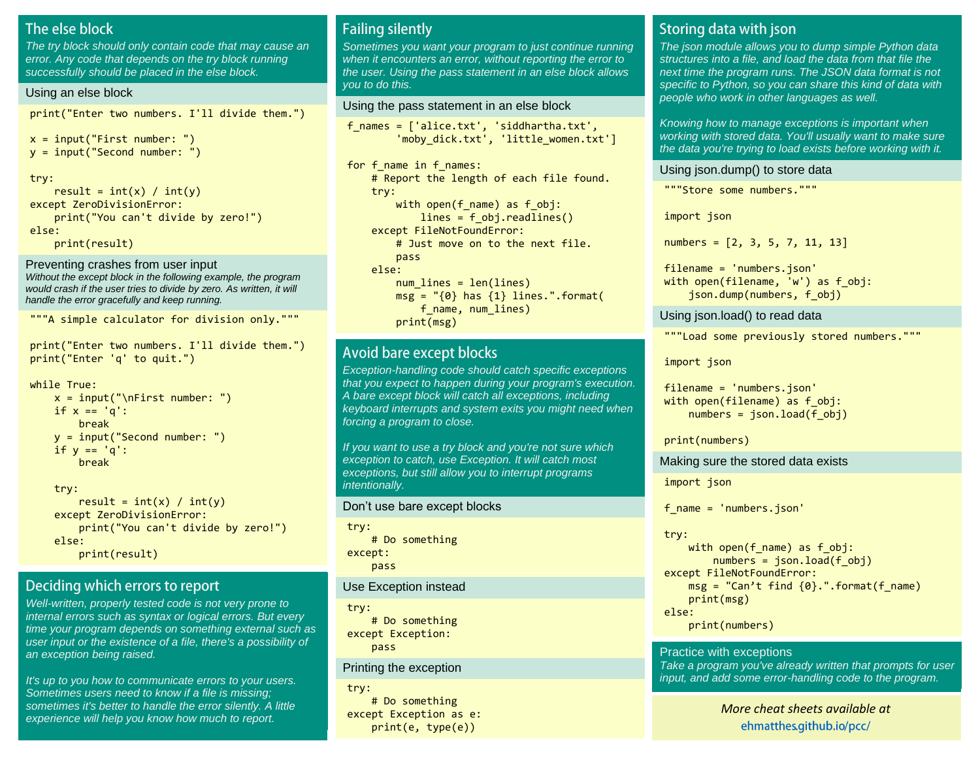### The else block

The try block should only contain code that may cause an error. Any code that depends on the try block running successfully should be placed in the else block.

#### Using an else block

print("Enter two numbers. I'll divide them.")

```
x = input("First number: ")y = input("Second number: ")
```
try:

result =  $int(x) / int(y)$ except ZeroDivisionError: print("You can't divide by zero!") else: print(result)

Preventing crashes from user input Without the except block in the following example, the program would crash if the user tries to divide by zero. As written, it will handle the error gracefully and keep running.

```
"""A simple calculator for division only."""
```
print("Enter two numbers. I'll divide them.") print("Enter 'q' to quit.")

while True:

 $x = input("\\nFirst number: ")$ if  $x == 'q'$ : break y = input("Second number: ") if  $y == 'q'$ : break

 try: result =  $int(x) / int(y)$  except ZeroDivisionError: print("You can't divide by zero!") else: print(result)

### Deciding which errors to report

Well-written, properly tested code is not very prone to internal errors such as syntax or logical errors. But every time your program depends on something external such as user input or the existence of a file, there's a possibility of an exception being raised.

It's up to you how to communicate errors to your users. Sometimes users need to know if a file is missing; sometimes it's better to handle the error silently. A little experience will help you know how much to report.

### **Failing silently**

Sometimes you want your program to just continue running when it encounters an error, without reporting the error to the user. Using the pass statement in an else block allows you to do this.

#### Using the pass statement in an else block

f\_names = ['alice.txt', 'siddhartha.txt', 'moby dick.txt', 'little women.txt']

```
for f_name in f_names:
     # Report the length of each file found.
     try:
        with open(f name) as f obj:
            lines = f obj.readlines()
     except FileNotFoundError:
         # Just move on to the next file.
         pass
     else:
        num lines = len(lines)
        msg = "\{0} has {1} lines."format(f name, num lines)
         print(msg)
```
### **Avoid bare except blocks**

Exception-handling code should catch specific exceptions that you expect to happen during your program's execution. A bare except block will catch all exceptions, including keyboard interrupts and system exits you might need when forcing a program to close.

If you want to use a try block and you're not sure which exception to catch, use Exception. It will catch most exceptions, but still allow you to interrupt programs intentionally.

#### Don't use bare except blocks

```
try:
     # Do something
except:
     pass
```
Use Exception instead

try:

 # Do something except Exception: pass

#### Printing the exception

try: # Do something except Exception as e: print(e, type(e))

### Storing data with json

The json module allows you to dump simple Python data structures into a file, and load the data from that file the next time the program runs. The JSON data format is not specific to Python, so you can share this kind of data with people who work in other languages as well.

Knowing how to manage exceptions is important when working with stored data. You'll usually want to make sure the data you're trying to load exists before working with it.

Using json.dump() to store data

"""Store some numbers."""

import json

numbers =  $[2, 3, 5, 7, 11, 13]$ 

filename = 'numbers.json' with open(filename, 'w') as f obj: json.dump(numbers, f\_obj)

#### Using json.load() to read data

"""Load some previously stored numbers."""

import json

filename = 'numbers.json' with open(filename) as f obj:  $numbers = ison.load(fobj)$ 

print(numbers)

Making sure the stored data exists

import json

f\_name = 'numbers.json'

try:

```
with open(f name) as f obj:
        numbers = json.load(fobj)except FileNotFoundError:
    msg = "Can't find {0}.".format(f name) print(msg)
else:
     print(numbers)
```
Practice with exceptions Take a program you've already written that prompts for user input, and add some error-handling code to the program.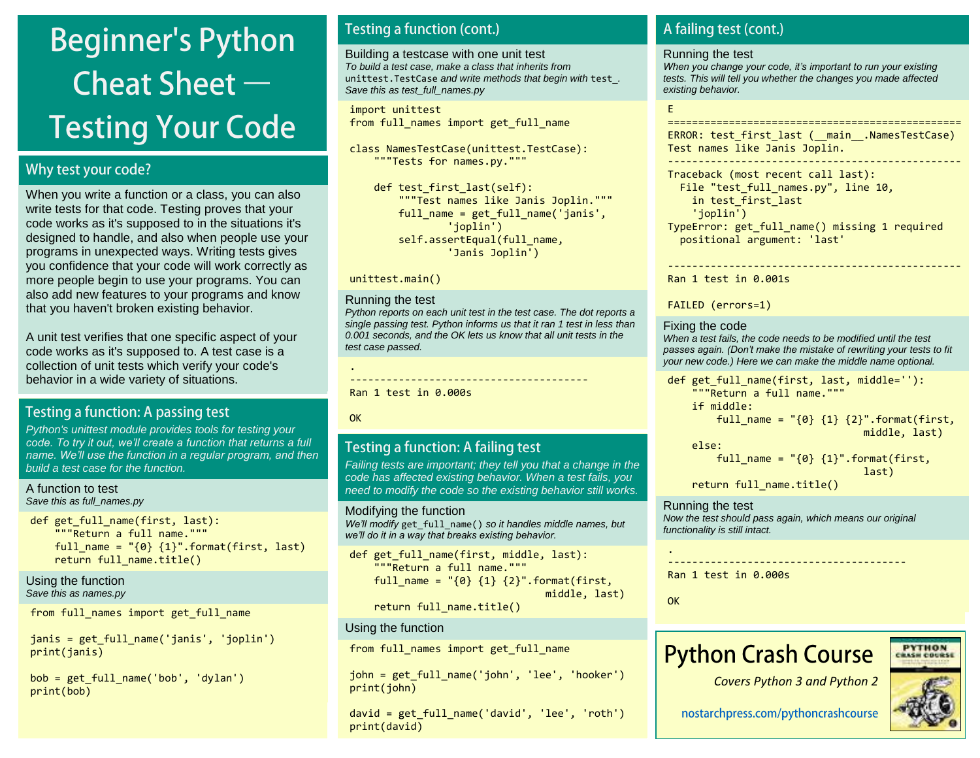# **Beginner's Python** Cheat Sheet  $-$ **Testing Your Code**

### Why test your code?

When you write a function or a class, you can also write tests for that code. Testing proves that your code works as it's supposed to in the situations it's designed to handle, and also when people use your programs in unexpected ways. Writing tests gives you confidence that your code will work correctly as more people begin to use your programs. You can also add new features to your programs and know that you haven't broken existing behavior.

A unit test verifies that one specific aspect of your code works as it's supposed to. A test case is a collection of unit tests which verify your code's behavior in a wide variety of situations.

### Testing a function: A passing test

Python's unittest module provides tools for testing your *code. To try it out, we'll create a* function that returns a full *name. We'll use the function in a regular program, and then*  build a test case for the function.

A function to test Save this as full\_names.py

def get\_full\_name(first, last): """Return a full name.""" full name =  $"(0)$   $\{1\}$ ".format(first, last) return full name.title()

Using the function Save this as names.py

from full names import get full name

janis = get\_full\_name('janis', 'joplin') print(janis)

bob = get\_full\_name('bob', 'dylan') print(bob)

### **Testing a function (cont.)**

Building a testcase with one unit test To build a test case, make a class that inherits from unittest. TestCase and write methods that begin with test. Save this as test\_full\_names.py

import unittest from full names import get full name

class NamesTestCase(unittest.TestCase): """Tests for names.py."""

def test first last(self): """Test names like Janis Joplin.""" full name = get full name('janis', 'joplin') self.assertEqual(full name, 'Janis Joplin')

#### unittest.main()

#### Running the test

Python reports on each unit test in the test case. The dot reports a single passing test. Python informs us that it ran 1 test in less than 0.001 seconds, and the OK lets us know that all unit tests in the test case passed.

---------------------------------------

Ran 1 test in 0.000s

**OK** 

.

### Testing a function: A failing test

Failing tests are important; they tell you that a change in the code has affected existing behavior. When a test fails, you need to modify the code so the existing behavior still works.

#### Modifying the function

We'll modify get full name() so it handles middle names, but *we'll do it in a way that breaks existing behavior.*

def get full name(first, middle, last): """Return a full name.""" full name = " ${0}$   ${1}$   ${2}$ ".format(first, middle, last) return full name.title()

#### Using the function

from full names import get full name

john = get\_full\_name('john', 'lee', 'hooker') print(john)

david = get\_full\_name('david', 'lee', 'roth') print(david)

### A failing test (cont.)

#### Running the test

*When you change your code, it's important to run your existing*  tests. This will tell you whether the changes you made affected existing behavior.

#### E

================================================ ERROR: test first last ( \_main \_.NamesTestCase) Test names like Janis Joplin.

------------------------------------------------

Traceback (most recent call last): File "test\_full\_names.py", line 10, in test\_first\_last 'joplin') TypeError: get\_full\_name() missing 1 required positional argument: 'last'

------------------------------------------------

Ran 1 test in 0.001s

FAILED (errors=1)

#### Fixing the code

When a test fails, the code needs to be modified until the test *passes again. (Don't make the* mistake of rewriting your tests to fit your new code.) Here we can make the middle name optional.

def get\_full\_name(first, last, middle=''): """Return a full name.""" if middle: full\_name =  $"(0)$   $\{1\}$   $\{2\}$ ".format(first, middle, last) else:

full name =  ${9}$   ${1}$ ".format(first,

last)

return full name.title()

Running the test Now the test should pass again, which means our original functionality is still intact.

Ran 1 test in 0.000s

**OK** 

.

## **Python Crash Course**

nostarchpress.com/pythoncrashcourse

---------------------------------------



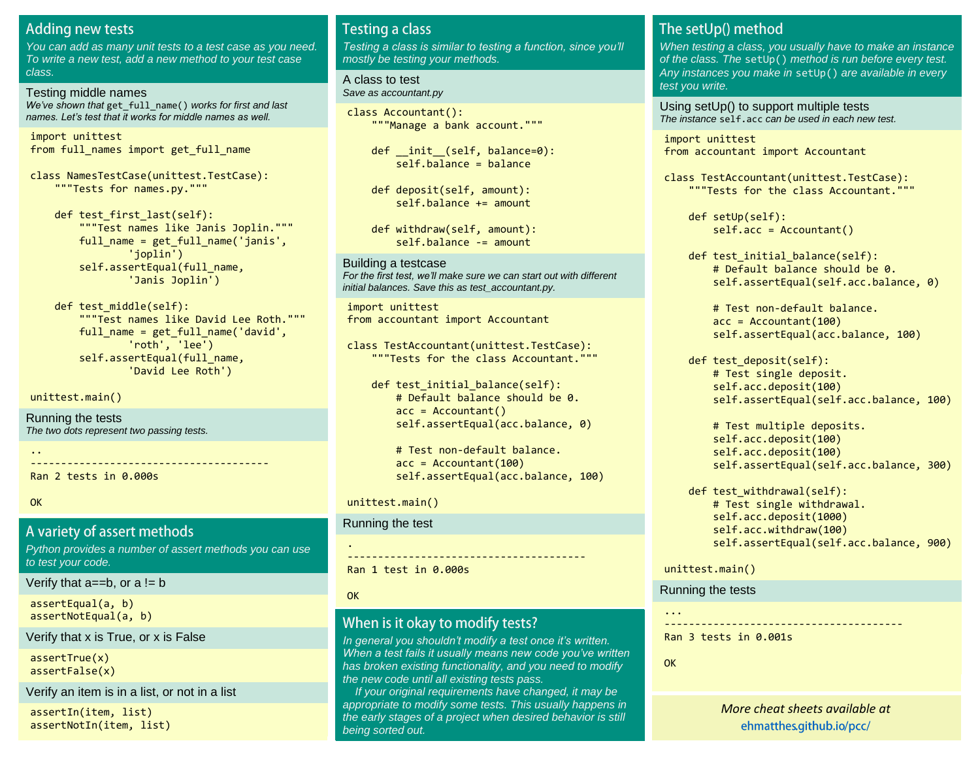### **Adding new tests**

You can add as many unit tests to a test case as you need. To write a new test, add a new method to your test case class.

#### Testing middle names

We've shown that get full name() works for first and last *names. Let's test that it works for middle names as well.*

import unittest from full names import get full name

class NamesTestCase(unittest.TestCase): """Tests for names.py."""

def test first last(self): """Test names like Janis Joplin.""" full name = get full name('janis', 'joplin') self.assertEqual(full name, 'Janis Joplin')

def test middle(self): """Test names like David Lee Roth.""" full name = get full name('david', 'roth', 'lee') self.assertEqual(full name, 'David Lee Roth')

unittest.main()

Running the tests The two dots represent two passing tests.

..

Ran 2 tests in 0.000s

**OK** 

#### A variety of assert methods

Python provides a number of assert methods you can use to test your code.

---------------------------------------

Verify that  $a == b$ , or  $a != b$ 

assertEqual(a, b) assertNotEqual(a, b)

Verify that x is True, or x is False

assertTrue(x) assertFalse(x)

Verify an item is in a list, or not in a list

assertIn(item, list) assertNotIn(item, list)

### **Testing a class**

*Testing a class is similar to testing a function, since you'll*  mostly be testing your methods.

A class to test Save as accountant.py

class Accountant(): """Manage a bank account."""

def init (self, balance=0): self.balance = balance

 def deposit(self, amount): self.balance += amount

 def withdraw(self, amount): self.balance -= amount

Building a testcase *For the first test, we'll* make sure we can start out with different initial balances. Save this as test accountant.py.

import unittest from accountant import Accountant

class TestAccountant(unittest.TestCase): """Tests for the class Accountant."""

def test initial balance(self): # Default balance should be 0.  $acc = Accountant()$ self.assertEqual(acc.balance, 0)

 # Test non-default balance.  $acc = Accountant(100)$ self.assertEqual(acc.balance, 100)

#### unittest.main()

Running the test

--------------------------------------- Ran 1 test in 0.000s

**OK** 

.

### When is it okay to modify tests?

*In general you shouldn't modify a test once it's written. When a test fails it usually means new code you've written*  has broken existing functionality, and you need to modify the new code until all existing tests pass.

 If your original requirements have changed, it may be appropriate to modify some tests. This usually happens in the early stages of a project when desired behavior is still being sorted out.

### The setUp() method

When testing a class, you usually have to make an instance of the class. The setUp() method is run before every test. Any instances you make in setUp() are available in every test you write.

Using setUp() to support multiple tests The instance self.acc can be used in each new test.

import unittest from accountant import Accountant

class TestAccountant(unittest.TestCase): """Tests for the class Accountant."""

> def setUp(self): self.acc = Accountant()

def test initial balance(self): # Default balance should be 0. self.assertEqual(self.acc.balance, 0)

 # Test non-default balance.  $acc = Accountant(100)$ self.assertEqual(acc.balance, 100)

 def test\_deposit(self): # Test single deposit. self.acc.deposit(100) self.assertEqual(self.acc.balance, 100)

 # Test multiple deposits. self.acc.deposit(100) self.acc.deposit(100) self.assertEqual(self.acc.balance, 300)

def test withdrawal(self): # Test single withdrawal. self.acc.deposit(1000) self.acc.withdraw(100) self.assertEqual(self.acc.balance, 900)

unittest.main()

Running the tests

--------------------------------------- Ran 3 tests in 0.001s

**OK** 

...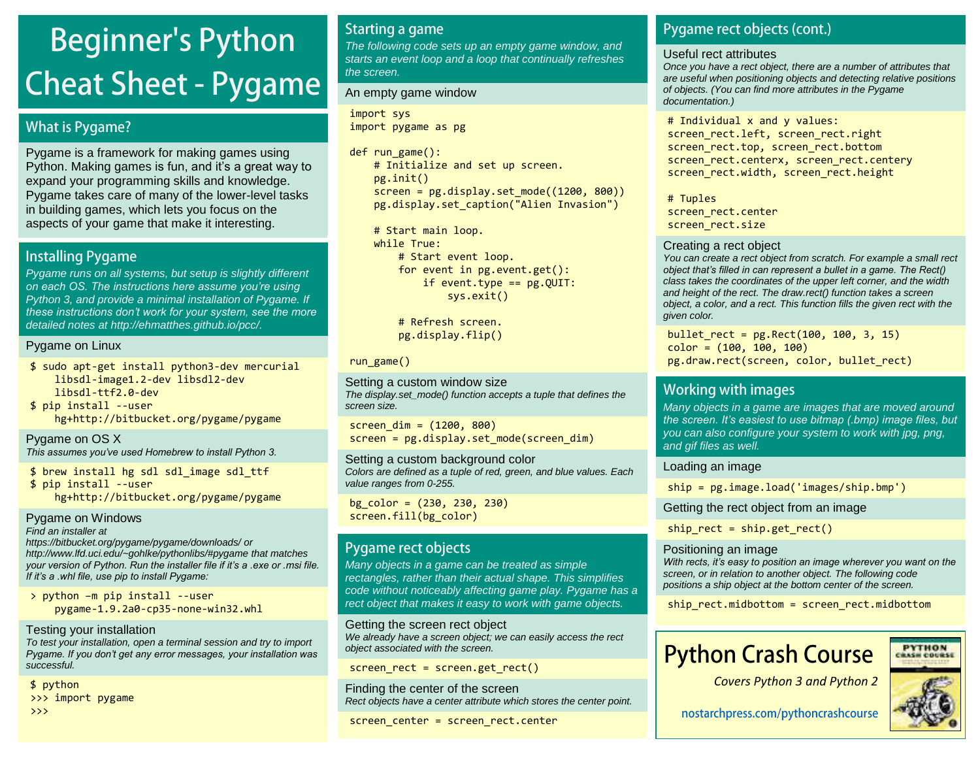# **Beginner's Python Cheat Sheet - Pygame**

### **What is Pygame?**

Pygame is a framework for making games using Python. Making games is fun, and it's a great way to expand your programming skills and knowledge. Pygame takes care of many of the lower-level tasks in building games, which lets you focus on the aspects of your game that make it interesting.

### **Installing Pygame**

Pygame runs on all systems, but setup is slightly different *on each OS. The instructions here assume you're using*  Python 3, and provide a minimal installation of Pygame. If *these instructions don't work for your system, see the more*  detailed notes at [http://ehmatthes.github.io/pcc/.](http://ehmatthes.github.io/pcc/chapter_12/README.html)

### Pygame on Linux

\$ sudo apt-get install python3-dev mercurial libsdl-image1.2-dev libsdl2-dev libsdl-ttf2.0-dev \$ pip install --user hg+http://bitbucket.org/pygame/pygame

Pygame on OS X *This assumes you've used Homebrew to install Python 3.*

\$ brew install hg sdl sdl\_image sdl\_ttf \$ pip install --user hg+http://bitbucket.org/pygame/pygame

Pygame on Windows Find an installer at <https://bitbucket.org/pygame/pygame/downloads/> or <http://www.lfd.uci.edu/~gohlke/pythonlibs/#pygame> that matches *your version of Python. Run the installer file if it's a .exe or .msi file. If it's a .whl file, use pip to install Pygame:*

> python –m pip install --user pygame-1.9.2a0-cp35-none-win32.whl

Testing your installation To test your installation, open a terminal session and try to import *Pygame. If you don't get any error messages, your installation was* 

successful. \$ python

>>> import pygame

>>>

### **Starting a game**

The following code sets up an empty game window, and starts an event loop and a loop that continually refreshes the screen.

#### An empty game window

import sys import pygame as pg

def run game(): # Initialize and set up screen. pg.init() screen =  $pg.display.setmode((1200, 800))$ pg.display.set\_caption("Alien Invasion")

 # Start main loop. while True: # Start event loop. for event in pg.event.get(): if event.type  $==$  pg.QUIT: sys.exit()

> # Refresh screen. pg.display.flip()

run\_game()

Setting a custom window size The display.set\_mode() function accepts a tuple that defines the screen size.

screen  $dim = (1200, 800)$ screen = pg.display.set mode(screen dim)

Setting a custom background color Colors are defined as a tuple of red, green, and blue values. Each value ranges from 0-255.

bg  $color = (230, 230, 230)$ screen.fill(bg\_color)

### Pygame rect objects

Many objects in a game can be treated as simple rectangles, rather than their actual shape. This simplifies code without noticeably affecting game play. Pygame has a rect object that makes it easy to work with game objects.

Getting the screen rect object We already have a screen object; we can easily access the rect object associated with the screen.

screen rect = screen.get rect()

Finding the center of the screen Rect objects have a center attribute which stores the center point.

screen center = screen rect.center

### Pygame rect objects (cont.)

#### Useful rect attributes

Once you have a rect object, there are a number of attributes that are useful when positioning objects and detecting relative positions of objects. (You can find more attributes in the Pygame documentation.)

# Individual x and y values: screen rect.left, screen rect.right screen rect.top, screen rect.bottom screen rect.centerx, screen rect.centery screen rect.width, screen rect.height

# Tuples screen\_rect.center screen rect.size

### Creating a rect object

You can create a rect object from scratch. For example a small rect *object that's filled in can represent a bullet in a game. The Rect()*  class takes the coordinates of the upper left corner, and the width and height of the rect. The draw.rect() function takes a screen object, a color, and a rect. This function fills the given rect with the given color.

bullet  $rect = pg.Rect(100, 100, 3, 15)$  $color = (100, 100, 100)$ pg.draw.rect(screen, color, bullet\_rect)

### **Working with images**

Many objects in a game are images that are moved around *the screen. It's easiest to use bitmap (.bmp) image files, but*  you can also configure your system to work with jpg, png, and gif files as well.

### Loading an image

ship = pg.image.load('images/ship.bmp')

Getting the rect object from an image

ship rect = ship.get rect()

### Positioning an image

*With rects, it's easy to position an image wherever you want on the*  screen, or in relation to another object. The following code positions a ship object at the bottom center of the screen.

ship rect.midbottom = screen rect.midbottom

## **Python Crash Course**





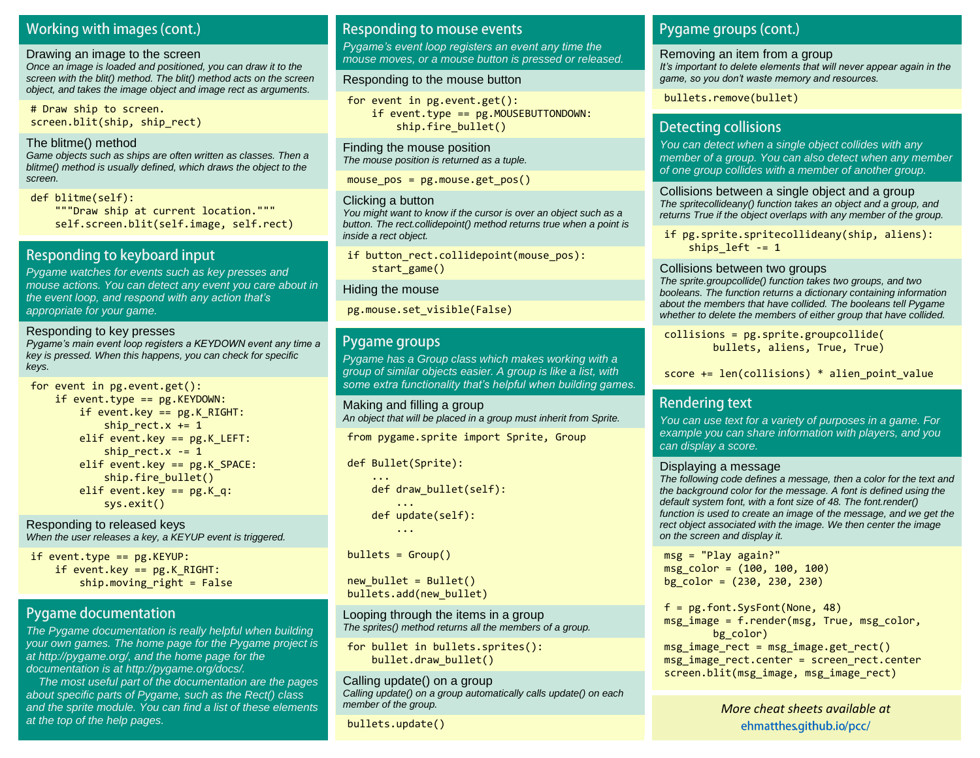### Working with images (cont.)

#### Drawing an image to the screen

Once an image is loaded and positioned, you can draw it to the screen with the blit() method. The blit() method acts on the screen object, and takes the image object and image rect as arguments.

# Draw ship to screen. screen.blit(ship, ship rect)

#### The blitme() method

Game objects such as ships are often written as classes. Then a blitme() method is usually defined, which draws the object to the screen.

#### def blitme(self):

 """Draw ship at current location.""" self.screen.blit(self.image, self.rect)

### Responding to keyboard input

Pygame watches for events such as key presses and mouse actions. You can detect any event you care about in the event loop, *and respond with any action that's*  appropriate for your game.

#### Responding to key presses *Pygame's main event loop registers a KEYDOWN event any time a*  key is pressed. When this happens, you can check for specific keys.

```
for event in pg.event.get():
    if event.type == pg. KEYDOWN:
         if event.key == pg.K_RIGHT:
            ship rect.x += 1 elif event.key == pg.K_LEFT:
            ship rect.x -= 1
         elif event.key == pg.K_SPACE:
            ship.fire bullet()
        elif event.key == pg.K q:
             sys.exit()
```
Responding to released keys When the user releases a key, a KEYUP event is triggered.

if event.type  $==$   $pg.KEYUP$ : if event.key ==  $pg.K$  RIGHT: ship.moving  $right = False$ 

### **Pygame documentation**

The Pygame documentation is really helpful when building your own games. The home page for the Pygame project is at http://pygame.org/, and the home page for the documentation is at http://pygame.org/docs/.

 The most useful part of the documentation are the pages about specific parts of Pygame, such as the Rect() class and the sprite module. You can find a list of these elements at the top of the help pages.

### **Responding to mouse events**

*Pygame's event loop registers an event any time the*  mouse moves, or a mouse button is pressed or released.

#### Responding to the mouse button

for event in pg.event.get(): if event.type == pg.MOUSEBUTTONDOWN: ship.fire\_bullet()

Finding the mouse position The mouse position is returned as a tuple.

mouse  $pos = pg.mouse.get pos()$ 

#### Clicking a button

You might want to know if the cursor is over an object such as a button. The rect.collidepoint() method returns true when a point is inside a rect object.

if button rect.collidepoint(mouse pos): start game()

#### Hiding the mouse

pg.mouse.set\_visible(False)

### Pygame groups

Pygame has a Group class which makes working with a group of similar objects easier. A group is like a list, with *some extra functionality that's helpful when building games.*

Making and filling a group An object that will be placed in a group must inherit from Sprite.

from pygame.sprite import Sprite, Group

def Bullet(Sprite):

```
 ...
    def draw_bullet(self):
 ...
    def update(self):
        ...
```
 $bullets = Group()$ 

 $new$  bullet = Bullet() bullets.add(new\_bullet)

Looping through the items in a group The sprites() method returns all the members of a group.

for bullet in bullets.sprites(): bullet.draw\_bullet()

Calling update() on a group Calling update() on a group automatically calls update() on each member of the group.

bullets.update()

### Pygame groups (cont.)

Removing an item from a group

*It's important to delete elements that will never appear again in the game, so you don't waste memory and resources.*

bullets.remove(bullet)

### **Detecting collisions**

You can detect when a single object collides with any member of a group. You can also detect when any member of one group collides with a member of another group.

Collisions between a single object and a group The spritecollideany() function takes an object and a group, and returns True if the object overlaps with any member of the group.

if pg.sprite.spritecollideany(ship, aliens): ships  $left$  -= 1

#### Collisions between two groups

The sprite.groupcollide() function takes two groups, and two booleans. The function returns a dictionary containing information about the members that have collided. The booleans tell Pygame whether to delete the members of either group that have collided.

collisions = pg.sprite.groupcollide( bullets, aliens, True, True)

score  $+=$  len(collisions)  $*$  alien point value

### **Rendering text**

You can use text for a variety of purposes in a game. For example you can share information with players, and you can display a score.

#### Displaying a message

The following code defines a message, then a color for the text and the background color for the message. A font is defined using the default system font, with a font size of 48. The font.render() function is used to create an image of the message, and we get the rect object associated with the image. We then center the image on the screen and display it.

msg = "Play again?"  $msg\color{red}\color{red}color\color{black}= (100, 100, 100)$ bg  $color = (230, 230, 230)$ 

f = pg.font.SysFont(None, 48) msg  $image = f.render(msg, True, msg color,$ bg color) msg\_image\_rect = msg\_image.get\_rect() msg image rect.center = screen rect.center screen.blit(msg\_image, msg\_image\_rect)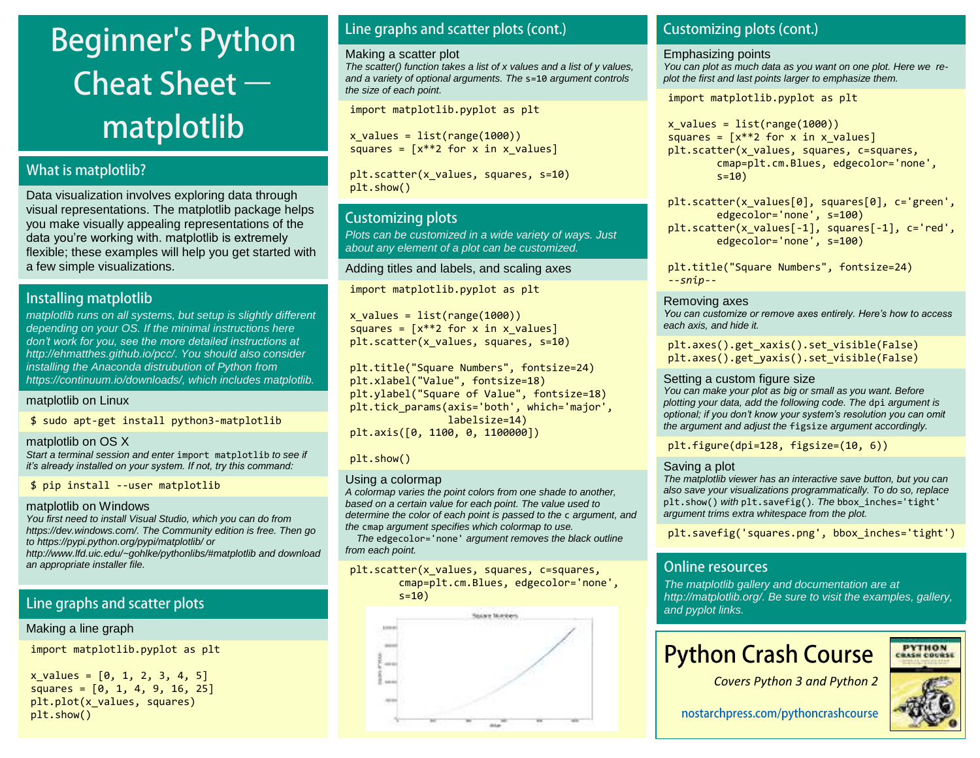

### **What is matplotlib?**

Data visualization involves exploring data through visual representations. The matplotlib package helps you make visually appealing representations of the data you're working with. matplotlib is extremely flexible; these examples will help you get started with a few simple visualizations.

### Installing matplotlib

matplotlib runs on all systems, but setup is slightly different depending on your OS. If the minimal instructions here *don't work for you, see the more detailed instructions at*  [http://ehmatthes.github.io/pcc/.](http://ehmatthes.github.io/pcc/) You should also consider installing the Anaconda distrubution of Python from [https://continuum.io/downloads/,](https://continuum.io/downloads/) which includes matplotlib.

matplotlib on Linux

\$ sudo apt-get install python3-matplotlib

#### matplotlib on OS X

Start a terminal session and enter import matplotlib to see if *it's already installed on your system. If not, try this command:*

\$ pip install --user matplotlib

#### matplotlib on Windows

You first need to install Visual Studio, which you can do from [https://dev.windows.com/.](https://dev.windows.com/) The Community edition is free. Then go to<https://pypi.python.org/pypi/matplotlib/> or

<http://www.lfd.uic.edu/~gohlke/pythonlibs/#matplotlib> and download an appropriate installer file.

### Line graphs and scatter plots

Making a line graph

import matplotlib.pyplot as plt

 $x_values = [0, 1, 2, 3, 4, 5]$  $square = [0, 1, 4, 9, 16, 25]$ plt.plot(x\_values, squares) plt.show()

### Line graphs and scatter plots (cont.)

#### Making a scatter plot

The scatter() function takes a list of x values and a list of y values, and a variety of optional arguments. The s=10 argument controls the size of each point.

import matplotlib.pyplot as plt

 $x$  values = list(range(1000)) squares =  $[x^{**}2$  for x in x values]

plt.scatter(x values, squares, s=10) plt.show()

### **Customizing plots**

Plots can be customized in a wide variety of ways. Just about any element of a plot can be customized.

#### Adding titles and labels, and scaling axes

import matplotlib.pyplot as plt

 $x$  values = list(range(1000)) squares =  $[x^{**}2$  for x in x values] plt.scatter(x values, squares, s=10)

plt.title("Square Numbers", fontsize=24) plt.xlabel("Value", fontsize=18) plt.ylabel("Square of Value", fontsize=18) plt.tick\_params(axis='both', which='major', labelsize=14) plt.axis([0, 1100, 0, 1100000])

#### plt.show()

#### Using a colormap

A colormap varies the point colors from one shade to another, based on a certain value for each point. The value used to determine the color of each point is passed to the c argument, and the cmap argument specifies which colormap to use.

 The edgecolor='none' argument removes the black outline from each point.

plt.scatter(x values, squares, c=squares, cmap=plt.cm.Blues, edgecolor='none', s=10)



### **Customizing plots (cont.)**

#### Emphasizing points

You can plot as much data as you want on one plot. Here we replot the first and last points larger to emphasize them.

import matplotlib.pyplot as plt

 $x$  values = list(range(1000)) squares =  $[x**2$  for x in x values] plt.scatter(x values, squares, c=squares, cmap=plt.cm.Blues, edgecolor='none',  $s=10$ )

plt.scatter(x values[0], squares[0], c='green', edgecolor='none', s=100) plt.scatter(x values[-1], squares[-1], c='red', edgecolor='none', s=100)

plt.title("Square Numbers", fontsize=24) *--snip--*

#### Removing axes

*You can customize or remove axes entirely. Here's how to access*  each axis, and hide it.

plt.axes().get\_xaxis().set\_visible(False) plt.axes().get\_yaxis().set\_visible(False)

#### Setting a custom figure size

You can make your plot as big or small as you want. Before plotting your data, add the following code. The dpi argument is *optional; if you don't know your system's resolution you can omit*  the argument and adjust the figsize argument accordingly.

plt.figure(dpi=128, figsize=(10, 6))

#### Saving a plot

The matplotlib viewer has an interactive save button, but you can also save your visualizations programmatically. To do so, replace plt.show() with plt.savefig(). The bbox\_inches='tight' argument trims extra whitespace from the plot.

plt.savefig('squares.png', bbox\_inches='tight')

### **Online resources**

The matplotlib gallery and documentation are at [http://matplotlib.org/.](http://matplotlib.org/) Be sure to visit the [examples,](http://matplotlib.org/examples/) [gallery,](http://matplotlib.org/gallery.html) and [pyplot](http://matplotlib.org/api/pyplot_summary.html) links.

## **Python Crash Course**



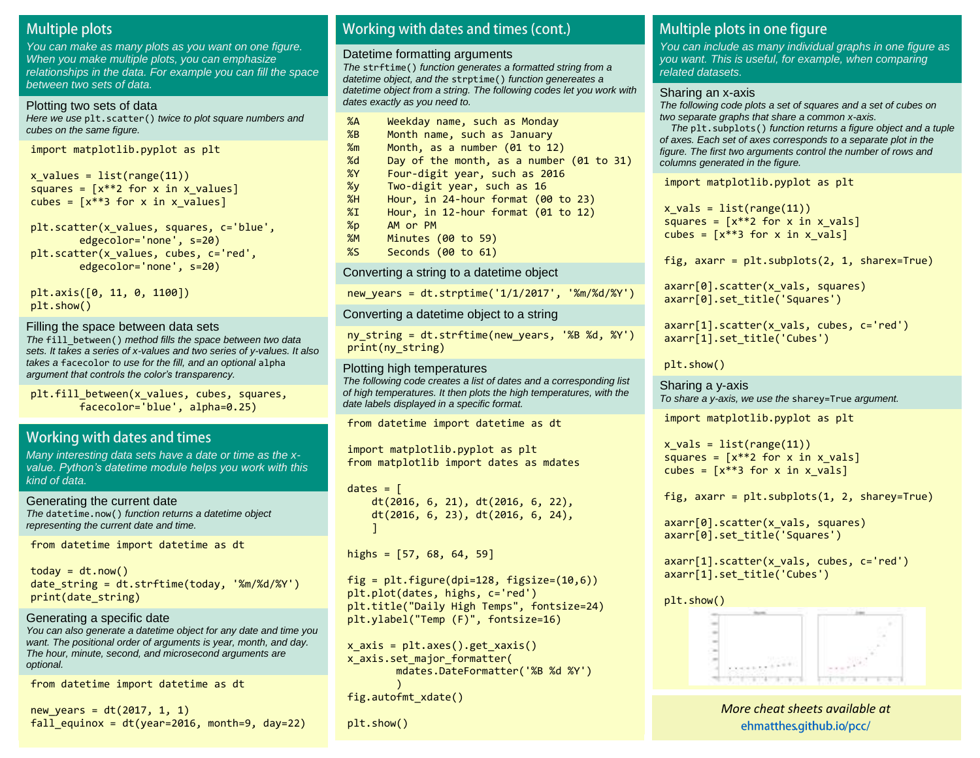### **Multiple plots**

You can make as many plots as you want on one figure. When you make multiple plots, you can emphasize relationships in the data. For example you can fill the space between two sets of data.

#### Plotting two sets of data

Here we use plt.scatter() twice to plot square numbers and cubes on the same figure.

import matplotlib.pyplot as plt

 $x$  values = list(range(11)) squares =  $[x^{**}2$  for x in x values] cubes =  $[x^{**}3$  for x in x values]

plt.scatter(x\_values, squares, c='blue', edgecolor='none', s=20) plt.scatter(x values, cubes, c='red', edgecolor='none', s=20)

plt.axis([0, 11, 0, 1100]) plt.show()

#### Filling the space between data sets

The fill\_between() method fills the space between two data sets. It takes a series of x-values and two series of y-values. It also takes a facecolor to use for the fill, and an optional alpha *argument that controls the color's transparency.*

plt.fill\_between(x\_values, cubes, squares, facecolor='blue', alpha=0.25)

### Working with dates and times

Many interesting data sets have a date or time as the x*value. Python's datetime module helps you work with* this kind of data.

Generating the current date The datetime.now() function returns a datetime object representing the current date and time.

from datetime import datetime as dt

 $today = dt.now()$ date string = dt.strftime(today, '%m/%d/%Y') print(date\_string)

#### Generating a specific date You can also generate a datetime object for any date and time you

want. The positional order of arguments is year, month, and day. The hour, minute, second, and microsecond arguments are optional.

from datetime import datetime as dt

new years =  $dt(2017, 1, 1)$ fall equinox = dt(year=2016, month=9, day=22)

### Working with dates and times (cont.)

#### Datetime formatting arguments

The strftime() function generates a formatted string from a datetime object, and the strptime() function genereates a datetime object from a string. The following codes let you work with dates exactly as you need to.

| %A              | Weekday name, such as Monday             |
|-----------------|------------------------------------------|
| %B              | Month name, such as January              |
| $\frac{2}{2}$ m | Month, as a number (01 to 12)            |
| %d              | Day of the month, as a number (01 to 31) |
| %Y              | Four-digit year, such as 2016            |
| %y              | Two-digit year, such as 16               |
| %H              | Hour, in 24-hour format (00 to 23)       |
| $\chi_{\rm I}$  | Hour, in $12$ -hour format (01 to $12$ ) |
| %p              | AM or PM                                 |
| %M              | Minutes $(00 to 59)$                     |
| %S              | Seconds (00 to 61)                       |

Converting a string to a datetime object

new\_years = dt.strptime('1/1/2017', '%m/%d/%Y')

Converting a datetime object to a string

ny string = dt.strftime(new years, '%B %d, %Y') print(ny\_string)

#### Plotting high temperatures

The following code creates a list of dates and a corresponding list of high temperatures. It then plots the high temperatures, with the date labels displayed in a specific format.

from datetime import datetime as dt

import matplotlib.pyplot as plt from matplotlib import dates as mdates

 $dates =  $\lceil$$  dt(2016, 6, 21), dt(2016, 6, 22), dt(2016, 6, 23), dt(2016, 6, 24), ]

highs =  $[57, 68, 64, 59]$ 

fig = plt.figure(dpi=128, figsize=(10,6)) plt.plot(dates, highs, c='red') plt.title("Daily High Temps", fontsize=24) plt.ylabel("Temp (F)", fontsize=16)

```
x_axis = plt.axes().get_</)x_axis.set_major_formatter(
         mdates.DateFormatter('%B %d %Y')
\sim ( \sim )
fig.autofmt_xdate()
```
plt.show()

### Multiple plots in one figure

You can include as many individual graphs in one figure as you want. This is useful, for example, when comparing related datasets.

#### Sharing an x-axis

The following code plots a set of squares and a set of cubes on two separate graphs that share a common x-axis.

The plt.subplots() function returns a figure object and a tuple of axes. Each set of axes corresponds to a separate plot in the figure. The first two arguments control the number of rows and columns generated in the figure.

import matplotlib.pyplot as plt

 $x$  vals = list(range(11)) squares =  $[x^{**}2$  for x in x vals] cubes =  $[x^{**}3$  for x in x vals]

fig,  $axarr = plt.subplots(2, 1, sharex=True)$ 

```
axarr[0].scatter(x vals, squares)
axarr[0].set title('Squares')
```

```
axarr[1].scatter(x_vals, cubes, c='red')
axarr[1].set_title('Cubes')
```

```
plt.show()
```
Sharing a y-axis To share a y-axis, we use the sharey=True argument.

import matplotlib.pyplot as plt

 $x$  vals = list(range(11)) squares =  $[x^{**}2$  for x in x vals] cubes =  $[x^{**}3$  for x in x vals]

fig,  $axarr = plt.subplots(1, 2, sharey=True)$ 

axarr[0].scatter(x\_vals, squares) axarr[0].set\_title('Squares')

axarr[1].scatter(x vals, cubes, c='red') axarr[1].set title('Cubes')

![](_page_19_Figure_54.jpeg)

![](_page_19_Figure_55.jpeg)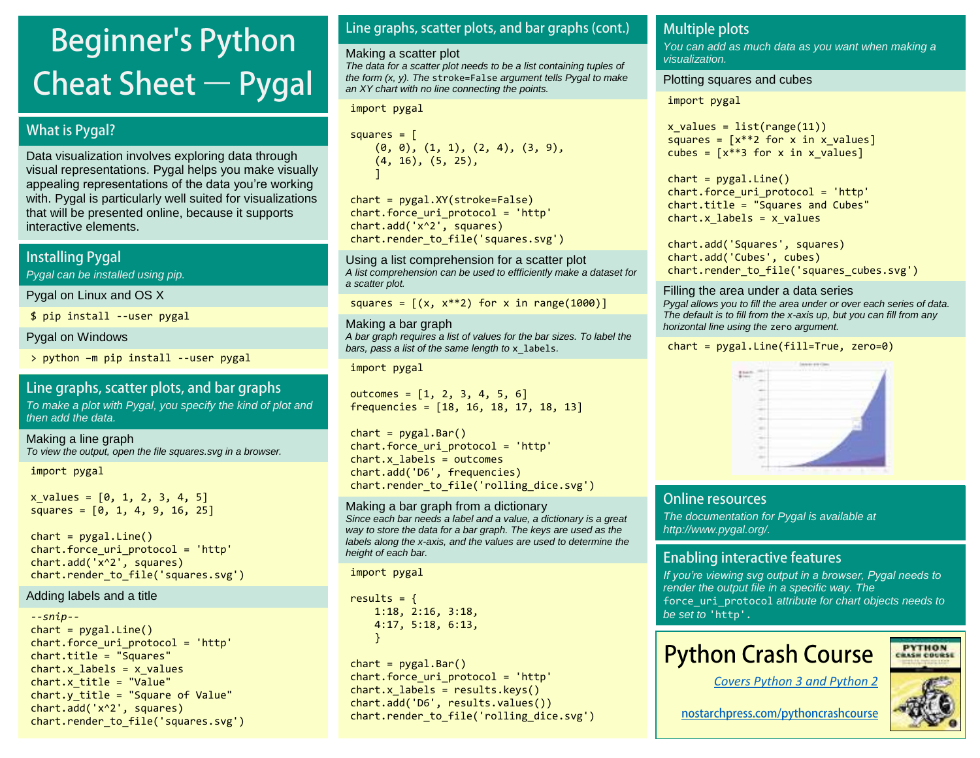# **Beginner's Python Cheat Sheet**  $-$  **Pygal**

### **What is Pygal?**

Data visualization involves exploring data through visual representations. Pygal helps you make visually appealing representations of the data you're working with. Pygal is particularly well suited for visualizations that will be presented online, because it supports interactive elements.

### **Installing Pygal**

Pygal can be installed using pip.

Pygal on Linux and OS X

\$ pip install --user pygal

Pygal on Windows

> python –m pip install --user pygal

### Line graphs, scatter plots, and bar graphs

To make a plot with Pygal, you specify the kind of plot and then add the data.

Making a line graph To view the output, open the file squares.svg in a browser.

import pygal

 $x$  values =  $[0, 1, 2, 3, 4, 5]$ squares =  $[0, 1, 4, 9, 16, 25]$ 

 $chart = pygal.Line()$ chart.force\_uri\_protocol = 'http' chart.add('x^2', squares) chart.render to file('squares.svg')

#### Adding labels and a title

```
--snip--
chart = pygal.Line()chart.force_uri_protocol = 'http'
chart.title = "Squares"
chart.x labels = x values
chart.x_title = "Value"
chart.y title = "Square of Value"
chart.add('x^2', squares)
chart.render to file('squares.svg')
```
### Line graphs, scatter plots, and bar graphs (cont.)

#### Making a scatter plot

The data for a scatter plot needs to be a list containing tuples of the form  $(x, y)$ . The stroke=False argument tells Pygal to make an XY chart with no line connecting the points.

#### import pygal

```
squares = \lceil (0, 0), (1, 1), (2, 4), (3, 9),
     (4, 16), (5, 25),
 ]
```
chart = pygal.XY(stroke=False) chart.force\_uri\_protocol = 'http' chart.add('x^2', squares) chart.render to file('squares.svg')

Using a list comprehension for a scatter plot A list comprehension can be used to effficiently make a dataset for a scatter plot.

squares =  $[(x, x^{**}2)$  for x in range(1000)]

Making a bar graph A bar graph requires a list of values for the bar sizes. To label the bars, pass a list of the same length to  $x$  labels.

import pygal

outcomes = [1, 2, 3, 4, 5, 6] frequencies = [18, 16, 18, 17, 18, 13]

 $chart = pygal.Bar()$ chart.force\_uri\_protocol = 'http'  $chart.x$  labels = outcomes chart.add('D6', frequencies) chart.render\_to\_file('rolling\_dice.svg')

Making a bar graph from a dictionary Since each bar needs a label and a value, a dictionary is a great way to store the data for a bar graph. The keys are used as the labels along the x-axis, and the values are used to determine the height of each bar.

import pygal

results =  $\{$  1:18, 2:16, 3:18, 4:17, 5:18, 6:13, }

 $chart = pygal.Bar()$ chart.force\_uri\_protocol = 'http'  $chart.x$  labels = results.keys() chart.add('D6', results.values()) chart.render to file('rolling dice.svg')

### **Multiple plots**

You can add as much data as you want when making a visualization.

#### Plotting squares and cubes

import pygal

 $x$  values = list(range(11)) squares =  $[x**2$  for x in x values] cubes =  $[x^{**}3$  for x in x values]

 $chart = pygal.Line()$ chart.force\_uri\_protocol = 'http' chart.title = "Squares and Cubes"  $chart.x$  labels = x values

chart.add('Squares', squares) chart.add('Cubes', cubes) chart.render to file('squares cubes.svg')

#### Filling the area under a data series

Pygal allows you to fill the area under or over each series of data. The default is to fill from the x-axis up, but you can fill from any horizontal line using the zero argument.

chart = pygal.Line(fill=True, zero=0)

![](_page_20_Figure_43.jpeg)

### **Online resources**

The documentation for Pygal is available at [http://www.pygal.org/.](http://www.pygal.org/)

### **Enabling interactive features**

*If you're viewing svg output in a browser, Pygal needs to*  render the output file in a specific way. The force uri protocol attribute for chart objects needs to be set to 'http'.

## **Python Crash Course**

![](_page_20_Picture_49.jpeg)

![](_page_20_Picture_51.jpeg)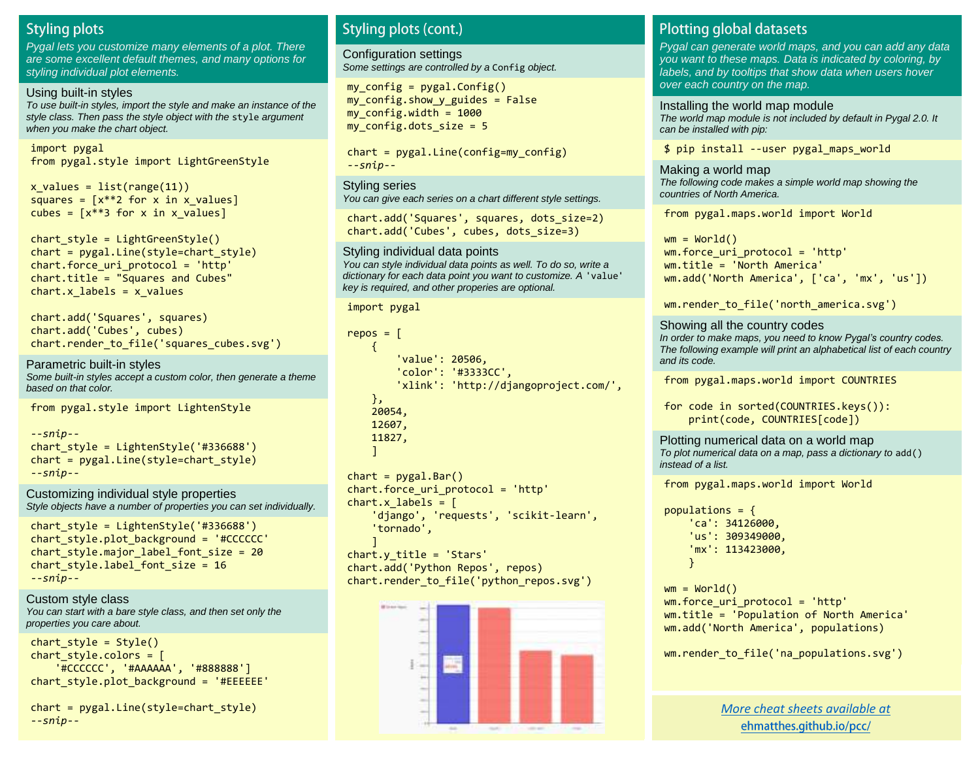### **Styling plots**

Pygal lets you customize many elements of a plot. There are some excellent default themes, and many options for styling individual plot elements.

#### Using built-in styles

To use built-in styles, import the style and make an instance of the style class. Then pass the style object with the style argument when you make the chart object.

import pygal from pygal.style import LightGreenStyle

 $x$  values = list(range(11)) squares =  $[x^{**}2$  for x in x values] cubes =  $[x^{**}3$  for x in x values]

chart  $style =$  LightGreenStyle() chart = pygal.Line(style=chart\_style) chart.force\_uri\_protocol = 'http' chart.title = "Squares and Cubes"  $chart.x$  labels = x values

chart.add('Squares', squares) chart.add('Cubes', cubes) chart.render\_to\_file('squares\_cubes.svg')

Parametric built-in styles Some built-in styles accept a custom color, then generate a theme based on that color.

from pygal.style import LightenStyle

*--snip-* chart style = LightenStyle('#336688')  $chart = pygal.Line(style=chart style)$ *--snip--*

Customizing individual style properties Style objects have a number of properties you can set individually.

chart style = LightenStyle('#336688') chart style.plot background = '#CCCCCC' chart style.major label font size =  $20$ chart style.label font size =  $16$ *--snip--*

Custom style class You can start with a bare style class, and then set only the properties you care about.

```
chart style = Style()
chart style.colors = [ '#CCCCCC', '#AAAAAA', '#888888']
chart style.plot background = '#EEEEEE'
```

```
chart = pygal.Line(style=chart_style)
--snip--
```
### **Styling plots (cont.)**

Configuration settings Some settings are controlled by a Config object.

 $my$  config =  $pygal.Gonfig()$  $my$  config.show  $y$  guides = False  $my$  config.width = 1000 my config.dots  $size = 5$ 

```
chart = pygal.Line(config=my_config)
--snip--
```

```
Styling series
```
You can give each series on a chart different style settings.

chart.add('Squares', squares, dots\_size=2) chart.add('Cubes', cubes, dots\_size=3)

Styling individual data points You can style individual data points as well. To do so, write a

```
dictionary for each data point you want to customize. A 'value'
key is required, and other properies are optional.
```

```
import pygal
```

```
repos = [ {
          'value': 20506,
          'color': '#3333CC',
          'xlink': 'http://djangoproject.com/',
     },
     20054,
     12607,
     11827,
     ]
```

```
chart = pygal.Bar()chart.force_uri_protocol = 'http'
chart.x labels = \lceil 'django', 'requests', 'scikit-learn',
     'tornado',
 ]
chart.y title = 'Stars'
chart.add('Python Repos', repos)
```
chart.render\_to\_file('python\_repos.svg')

![](_page_21_Figure_29.jpeg)

### **Plotting global datasets**

Pygal can generate world maps, and you can add any data you want to these maps. Data is indicated by coloring, by labels, and by tooltips that show data when users hover over each country on the map.

Installing the world map module The world map module is not included by default in Pygal 2.0. It can be installed with pip:

\$ pip install --user pygal\_maps\_world

Making a world map The following code makes a simple world map showing the countries of North America.

from pygal.maps.world import World

 $wm = World()$ wm.force\_uri\_protocol = 'http' wm.title = 'North America' wm.add('North America', ['ca', 'mx', 'us'])

wm.render to file('north america.svg')

```
Showing all the country codes
In order to make maps, you need to know Pygal's country codes. 
The following example will print an alphabetical list of each country 
and its code.
```
from pygal.maps.world import COUNTRIES

```
for code in sorted(COUNTRIES.keys()):
     print(code, COUNTRIES[code])
```
Plotting numerical data on a world map To plot numerical data on a map, pass a dictionary to add() instead of a list.

from pygal.maps.world import World

```
populations = {
    'ca': 34126000,
    'us': 309349000,
     'mx': 113423000,
     }
```
 $wm = World()$ wm.force uri protocol = 'http' wm.title = 'Population of North America' wm.add('North America', populations)

```
wm.render to file('na populations.svg')
```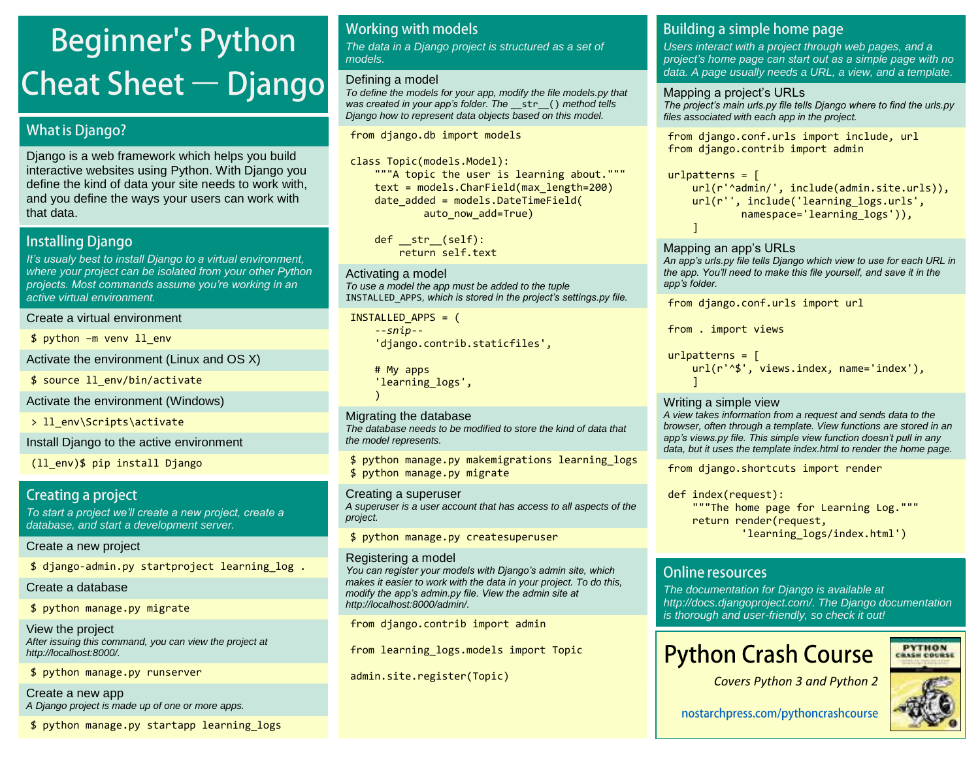# **Beginner's Python Cheat Sheet - Django**

### **What is Django?**

Django is a web framework which helps you build interactive websites using Python. With Django you define the kind of data your site needs to work with, and you define the ways your users can work with that data.

### **Installing Django**

*It's usualy best to install Django to a virtual environment,*  where your project can be isolated from your other Python *projects. Most commands assume you're working in an*  active virtual environment.

#### Create a virtual environment

\$ python –m venv ll\_env

Activate the environment (Linux and OS X)

\$ source ll\_env/bin/activate

Activate the environment (Windows)

> 11 env\Scripts\activate

### Install Django to the active environment

(ll\_env)\$ pip install Django

### Creating a project

*To start a project we'll create a new project, create a*  database, and start a development server.

### Create a new project

\$ django-admin.py startproject learning\_log .

Create a database

\$ python manage.py migrate

View the project After issuing this command, you can view the project at http://localhost:8000/.

\$ python manage.py runserver

Create a new app A Django project is made up of one or more apps.

\$ python manage.py startapp learning\_logs

### **Working with models**

The data in a Django project is structured as a set of models.

### Defining a model

To define the models for your app, modify the file models.py that *was created in your app's folder. The* \_\_str\_\_() method tells Django how to represent data objects based on this model.

from django.db import models

class Topic(models.Model):

 """A topic the user is learning about.""" text = models.CharField(max\_length=200) date added = models.DateTimeField( auto now add=True)

 def \_\_str\_\_(self): return self.text

### Activating a model

To use a model the app must be added to the tuple INSTALLED\_APPS*, which is stored in the project's settings.py file.*

INSTALLED\_APPS = ( *--snip--* 'django.contrib.staticfiles',

 # My apps 'learning logs',  $\rightarrow$ 

### Migrating the database

The database needs to be modified to store the kind of data that the model represents.

\$ python manage.py makemigrations learning\_logs \$ python manage.py migrate

### Creating a superuser

A superuser is a user account that has access to all aspects of the project.

\$ python manage.py createsuperuser

### Registering a model

*You can register your models with Django's admin site, which*  makes it easier to work with the data in your project. To do this, modify the *app's admin.py file. View the admin site at*  http://localhost:8000/admin/.

from django.contrib import admin

from learning\_logs.models import Topic

admin.site.register(Topic)

### Building a simple home page

Users interact with a project through web pages, and a *project's home page can start out as a simple page with no*  data. A page usually needs a URL, a view, and a template.

### Mapping a project's URLs

*The project's main urls.py file tells Django where to find the* urls.py files associated with each app in the project.

from django.conf.urls import include, url from django.contrib import admin

### $urlb$ atterns =  $\lceil$

```
url(r'^admin/', include(admin.site.urls)),
    url(r'', include('learning_logs.urls',
           namespace='learning logs')),
 ]
```
### Mapping an app's URLs

*An app's urls.py file tells Django which view to use for each URL in the app. You'll need to make this file yourself, and save it in the app's folder.*

from django.conf.urls import url

from . import views

 $urlpatterns = [$  url(r'^\$', views.index, name='index'), ]

### Writing a simple view

A view takes information from a request and sends data to the browser, often through a template. View functions are stored in an *app's views.py file. This simple view function doesn't pull in any*  data, but it uses the template index.html to render the home page.

from django.shortcuts import render

def index(request): """The home page for Learning Log.""" return render(request, 'learning\_logs/index.html')

### **Online resources**

The documentation for Django is available at [http://docs.djangoproject.com/.](http://docs.djangoproject.com/) The Django documentation is thorough and user-friendly, so check it out!

# **Python Crash Course**

![](_page_22_Picture_65.jpeg)

![](_page_22_Picture_68.jpeg)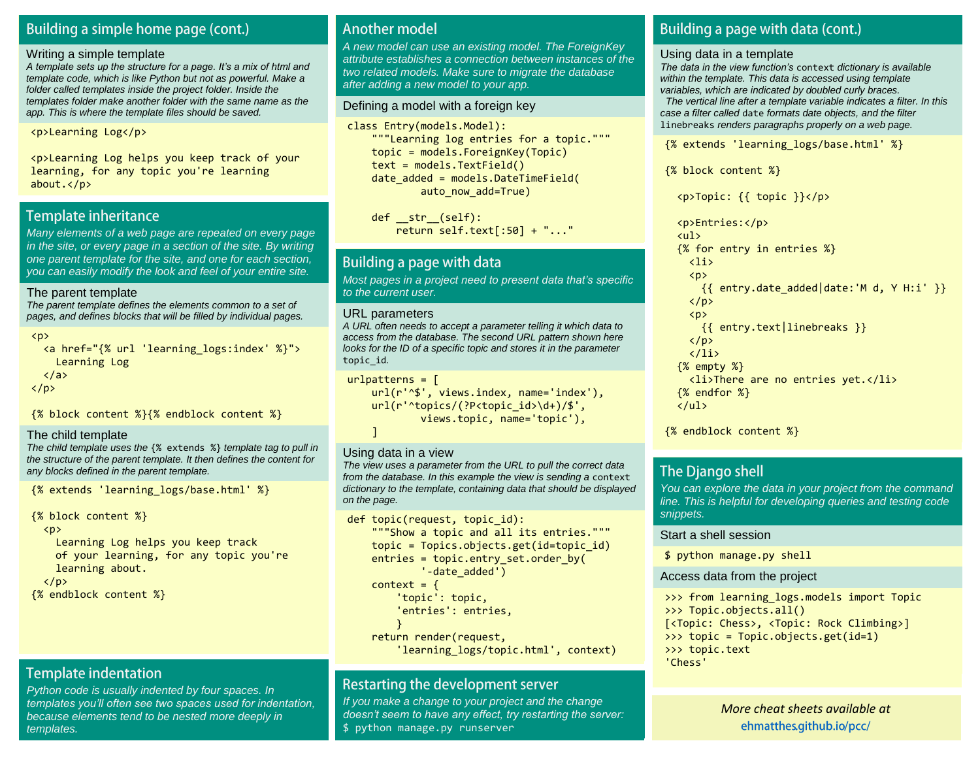### Building a simple home page (cont.)

#### Writing a simple template

*A template sets up the structure for a page. It's a mix of html and*  template code, which is like Python but not as powerful. Make a folder called templates inside the project folder. Inside the templates folder make another folder with the same name as the app. This is where the template files should be saved.

<p>Learning Log</p>

<p>Learning Log helps you keep track of your learning, for any topic you're learning about.</p>

### **Template inheritance**

Many elements of a web page are repeated on every page in the site, or every page in a section of the site. By writing one parent template for the site, and one for each section, you can easily modify the look and feel of your entire site.

#### The parent template

The parent template defines the elements common to a set of pages, and defines blocks that will be filled by individual pages.

```
\langle p \rangle
```

```
 <a href="{% url 'learning_logs:index' %}">
     Learning Log
  \langlea>
\langle/p>
```
{% block content %}{% endblock content %}

#### The child template

The child template uses the {% extends %} template tag to pull in the structure of the parent template. It then defines the content for any blocks defined in the parent template.

{% extends 'learning\_logs/base.html' %}

```
{% block content %}
```
<p>

 Learning Log helps you keep track of your learning, for any topic you're learning about.

```
\langle/p>
{% endblock content %}
```
### **Template indentation**

Python code is usually indented by four spaces. In *templates you'll often see two spaces used for indentation,*  because elements tend to be nested more deeply in templates.

### **Another model**

A new model can use an existing model. The ForeignKey attribute establishes a connection between instances of the two related models. Make sure to migrate the database after adding a new model to your app.

#### Defining a model with a foreign key

class Entry(models.Model): """Learning log entries for a topic.""" topic = models.ForeignKey(Topic) text = models.TextField()  $date$  added = models.DateTimeField( auto now add=True)

```
def str (self):
    return self.text[:50] + "..."
```
### Building a page with data

Most pages in a *project need to present data that's specific*  to the current user.

#### URL parameters

A URL often needs to accept a parameter telling it which data to access from the database. The second URL pattern shown here looks for the ID of a specific topic and stores it in the parameter topic\_id.

```
urlpatterns = [
```

```
 url(r'^$', views.index, name='index'),
url(r'^topics/(?P<topic_id>\d+)/$',
         views.topic, name='topic'),
 ]
```
#### Using data in a view

The view uses a parameter from the URL to pull the correct data from the database. In this example the view is sending a context dictionary to the template, containing data that should be displayed on the page.

```
def topic(request, topic id):
     """Show a topic and all its entries."""
     topic = Topics.objects.get(id=topic_id)
    entries = topic.entry set.order by(
             '-date_added')
    context = \{ 'topic': topic,
         'entries': entries,
         } 
     return render(request,
        'learning logs/topic.html', context)
```
### Restarting the development server

If you make a change to your project and the change *doesn't seem to have any effect, try restarting the server:* \$ python manage.py runserver

### Building a page with data (cont.)

#### Using data in a template

*The data in the view function's* context dictionary is available within the template. This data is accessed using template variables, which are indicated by doubled curly braces.

 The vertical line after a template variable indicates a filter. In this case a filter called date formats date objects, and the filter linebreaks renders paragraphs properly on a web page.

{% extends 'learning\_logs/base.html' %}

{% block content %}

<p>Topic: {{ topic }}</p>

 <p>Entries:</p> <ul> {% for entry in entries %}  $\langle$ li>  $\langle p \rangle$  ${f$  entry.date added|date:'M d, Y H:i' }}  $\langle$ /p>  $\langle p \rangle$  {{ entry.text|linebreaks }}  $\langle$ /p $\rangle$  $\langle$ /li> {% empty %} <li>There are no entries yet.</li> {% endfor %}  $\langle \rangle$ ul>

{% endblock content %}

### **The Django shell**

You can explore the data in your project from the command line. This is helpful for developing queries and testing code snippets.

#### Start a shell session

\$ python manage.py shell

#### Access data from the project

```
>>> from learning logs.models import Topic
>>> Topic.objects.all()
[<Topic: Chess>, <Topic: Rock Climbing>]
>>> topic = Topic.objects.get(id=1)
>>> topic.text
'Chess'
```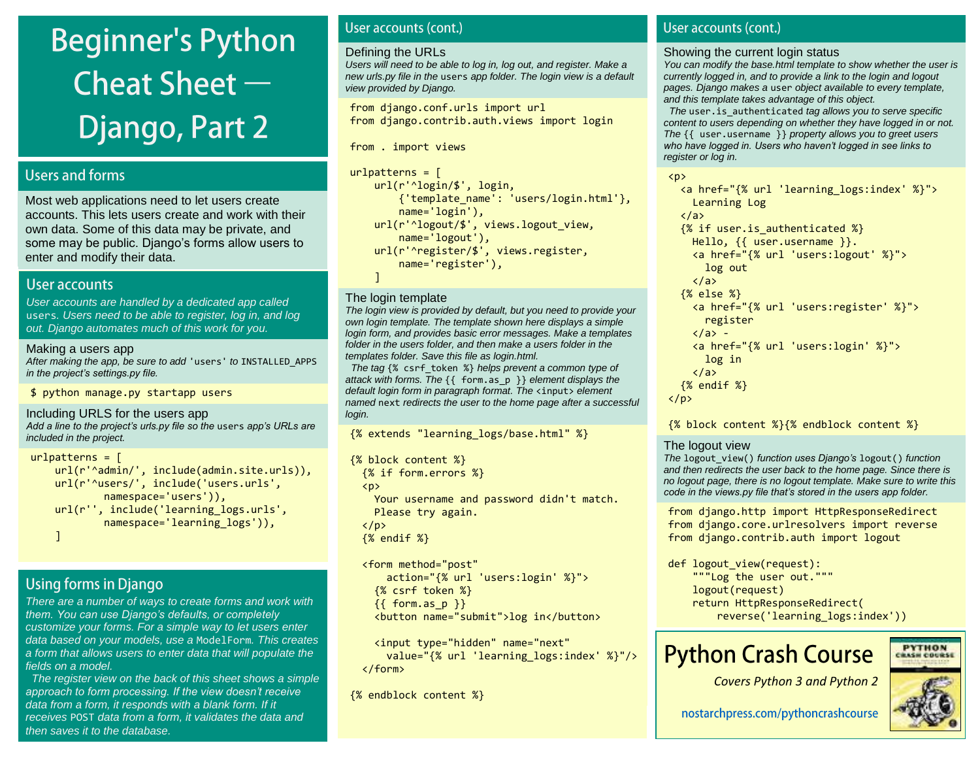# **Beginner's Python** Cheat Sheet  $-$ **Django, Part 2**

### **Users and forms**

Most web applications need to let users create accounts. This lets users create and work with their own data. Some of this data may be private, and some may be public. Django's forms allow users to enter and modify their data.

### User accounts

User accounts are handled by a dedicated app called users. Users need to be able to register, log in, and log out. Django automates much of this work for you.

### Making a users app

After making the app, be sure to add 'users' to INSTALLED APPS *in the project's settings.py file.*

\$ python manage.py startapp users

```
Including URLS for the users app
```
*Add a line to the project's urls.py file so the* users *app's URLs are*  included in the project.

```
urlpatterns = [
     url(r'^admin/', include(admin.site.urls)),
     url(r'^users/', include('users.urls',
             namespace='users')),
     url(r'', include('learning_logs.urls',
            namespace='learning logs')),
     ]
```
### **Using forms in Django**

There are a number of ways to create forms and work with *them. You can use Django's defaults, or completely*  customize your forms. For a simple way to let users enter data based on your models, use a ModelForm. This creates a form that allows users to enter data that will populate the fields on a model.

 The register view on the back of this sheet shows a simple *approach to form processing. If the view doesn't receive*  data from a form, it responds with a blank form. If it receives POST data from a form, it validates the data and then saves it to the database.

### User accounts (cont.)

#### Defining the URLs

Users will need to be able to log in, log out, and register. Make a new urls.py file in the users app folder. The login view is a default view provided by Django.

from django.conf.urls import url from django.contrib.auth.views import login

from . import views

```
urlpatterns = [ url(r'^login/$', login,
         {'template_name': 'users/login.html'},
         name='login'),
    url(r'^logout/$', views.logout view,
         name='logout'),
     url(r'^register/$', views.register,
         name='register'),
     ]
```
### The login template

The login view is provided by default, but you need to provide your own login template. The template shown here displays a simple login form, and provides basic error messages. Make a templates folder in the users folder, and then make a users folder in the templates folder. Save this file as login.html.

The tag  $\{$ % csrf token %} helps prevent a common type of attack with forms. The {{ form.as\_p }} element displays the default login form in paragraph format. The <input> element named next redirects the user to the home page after a successful login.

{% extends "learning\_logs/base.html" %}

```
{% block content %}
   {% if form.errors %}
   <p>
     Your username and password didn't match.
     Please try again.
  \langle/p>
   {% endif %}
```
 <form method="post" action="{% url 'users:login' %}"> {% csrf token %}  ${f of form as p}$ <button name="submit">log in</button>

```
 <input type="hidden" name="next"
     value="{% url 'learning_logs:index' %}"/>
 </form>
```
{% endblock content %}

### User accounts (cont.)

#### Showing the current login status

You can modify the base.html template to show whether the user is currently logged in, and to provide a link to the login and logout pages. Django makes a user object available to every template, and this template takes advantage of this object.

The user. is authenticated tag allows you to serve specific content to users depending on whether they have logged in or not. The {{ user.username }} property allows you to greet users *who have logged in. Users who haven't logged in see links to*  register or log in.

 $\langle p \rangle$ 

```
 <a href="{% url 'learning_logs:index' %}">
     Learning Log
  \langle/a\rangle {% if user.is_authenticated %}
     Hello, {{ user.username }}.
     <a href="{% url 'users:logout' %}">
        log out
    \langlea>
   {% else %}
     <a href="{% url 'users:register' %}">
        register
    \langle/a> -
     <a href="{% url 'users:login' %}">
       log in
    \langle/a>
   {% endif %}
\langle/p\rangle
```
{% block content %}{% endblock content %}

### The logout view

The logout\_view() *function uses Django's* logout() function and then redirects the user back to the home page. Since there is no logout page, there is no logout template. Make sure to write this *code in the views.py file that's stored in the users app folder.*

from django.http import HttpResponseRedirect from django.core.urlresolvers import reverse from django.contrib.auth import logout

```
def logout view(request):
     """Log the user out."""
     logout(request)
     return HttpResponseRedirect(
         reverse('learning_logs:index'))
```
## **Python Crash Course**

![](_page_24_Picture_40.jpeg)